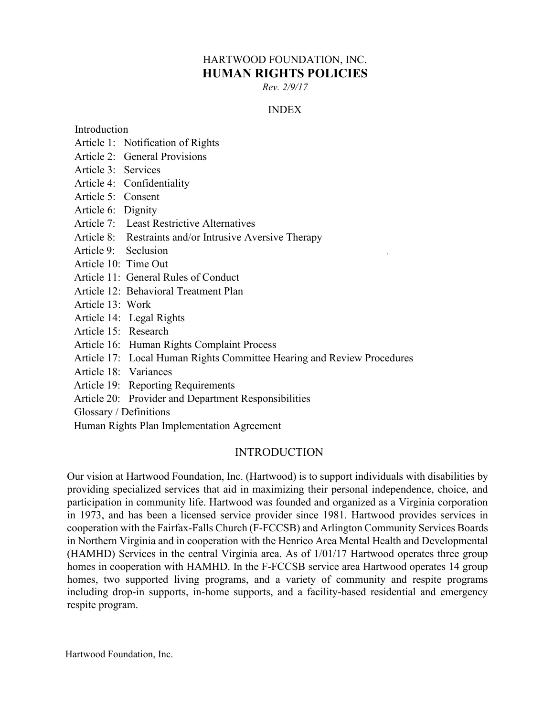# HARTWOOD FOUNDATION, INC. **HUMAN RIGHTS POLICIES**

*Rev. 2/9/17*

## INDEX

Introduction

- Article 1: Notification of Rights
- Article 2: General Provisions
- Article 3: Services
- Article 4: Confidentiality
- Article 5: Consent
- Article 6: Dignity
- Article 7: Least Restrictive Alternatives
- Article 8: Restraints and/or Intrusive Aversive Therapy
- Article 9: Seclusion
- Article 10: Time Out
- Article 11: General Rules of Conduct
- Article 12: Behavioral Treatment Plan
- Article 13: Work
- Article 14: Legal Rights
- Article 15: Research
- Article 16: Human Rights Complaint Process
- Article 17: Local Human Rights Committee Hearing and Review Procedures
- Article 18: Variances
- Article 19: Reporting Requirements
- Article 20: Provider and Department Responsibilities

Glossary / Definitions

Human Rights Plan Implementation Agreement

## INTRODUCTION

Our vision at Hartwood Foundation, Inc. (Hartwood) is to support individuals with disabilities by providing specialized services that aid in maximizing their personal independence, choice, and participation in community life. Hartwood was founded and organized as a Virginia corporation in 1973, and has been a licensed service provider since 1981. Hartwood provides services in cooperation with the Fairfax-Falls Church (F-FCCSB) and Arlington Community Services Boards in Northern Virginia and in cooperation with the Henrico Area Mental Health and Developmental (HAMHD) Services in the central Virginia area. As of 1/01/17 Hartwood operates three group homes in cooperation with HAMHD. In the F-FCCSB service area Hartwood operates 14 group homes, two supported living programs, and a variety of community and respite programs including drop-in supports, in-home supports, and a facility-based residential and emergency respite program.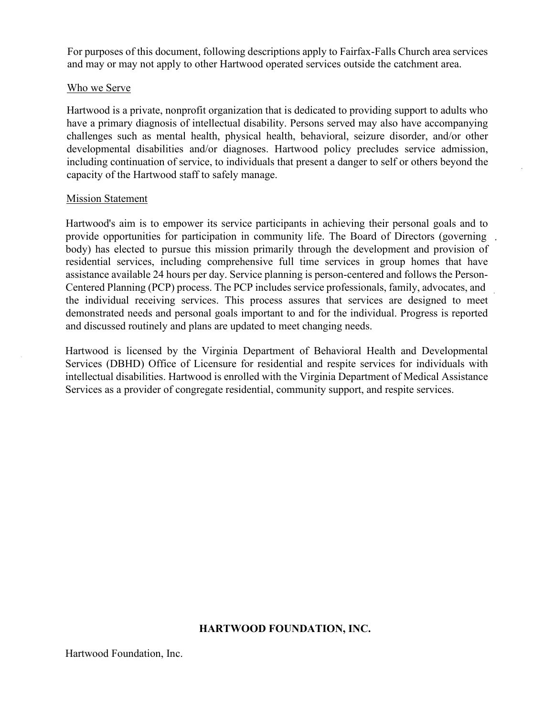For purposes of this document, following descriptions apply to Fairfax-Falls Church area services and may or may not apply to other Hartwood operated services outside the catchment area.

#### Who we Serve

Hartwood is a private, nonprofit organization that is dedicated to providing support to adults who have a primary diagnosis of intellectual disability. Persons served may also have accompanying challenges such as mental health, physical health, behavioral, seizure disorder, and/or other developmental disabilities and/or diagnoses. Hartwood policy precludes service admission, including continuation of service, to individuals that present a danger to self or others beyond the capacity of the Hartwood staff to safely manage.

#### **Mission Statement**

Hartwood's aim is to empower its service participants in achieving their personal goals and to provide opportunities for participation in community life. The Board of Directors (governing body) has elected to pursue this mission primarily through the development and provision of residential services, including comprehensive full time services in group homes that have assistance available 24 hours per day. Service planning is person-centered and follows the Person-Centered Planning (PCP) process. The PCP includes service professionals, family, advocates, and the individual receiving services. This process assures that services are designed to meet demonstrated needs and personal goals important to and for the individual. Progress is reported and discussed routinely and plans are updated to meet changing needs.

Hartwood is licensed by the Virginia Department of Behavioral Health and Developmental Services (DBHD) Office of Licensure for residential and respite services for individuals with intellectual disabilities. Hartwood is enrolled with the Virginia Department of Medical Assistance Services as a provider of congregate residential, community support, and respite services.

#### **HARTWOOD FOUNDATION, INC.**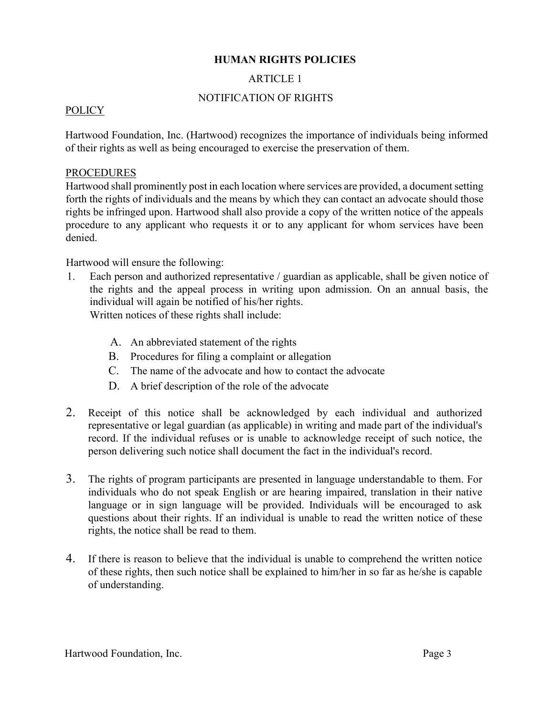## **HUMAN RIGHTS POLICIES**

## ARTICLE 1

## NOTIFICATION OF RIGHTS

## POLICY

Hartwood Foundation, Inc. (Hartwood) recognizes the importance of individuals being informed of their rights as well as being encouraged to exercise the preservation of them.

## PROCEDURES

Hartwood shall prominently post in each location where services are provided, a document setting forth the rights of individuals and the means by which they can contact an advocate should those rights be infringed upon. Hartwood shall also provide a copy of the written notice of the appeals procedure to any applicant who requests it or to any applicant for whom services have been denied.

Hartwood will ensure the following:

- 1. Each person and authorized representative / guardian as applicable, shall be given notice of the rights and the appeal process in writing upon admission. On an annual basis, the individual will again be notified of his/her rights. Written notices of these rights shall include:
	- A. An abbreviated statement of the rights
	- B. Procedures for filing a complaint or allegation
	- C. The name of the advocate and how to contact the advocate
	- D. A brief description of the role of the advocate
- 2. Receipt of this notice shall be acknowledged by each individual and authorized representative or legal guardian (as applicable) in writing and made part of the individual's record. If the individual refuses or is unable to acknowledge receipt of such notice, the person delivering such notice shall document the fact in the individual's record.
- 3. The rights of program participants are presented in language understandable to them. For individuals who do not speak English or are hearing impaired, translation in their native language or in sign language will be provided. Individuals will be encouraged to ask questions about their rights. If an individual is unable to read the written notice of these rights, the notice shall be read to them.
- 4. If there is reason to believe that the individual is unable to comprehend the written notice of these rights, then such notice shall be explained to him/her in so far as he/she is capable of understanding.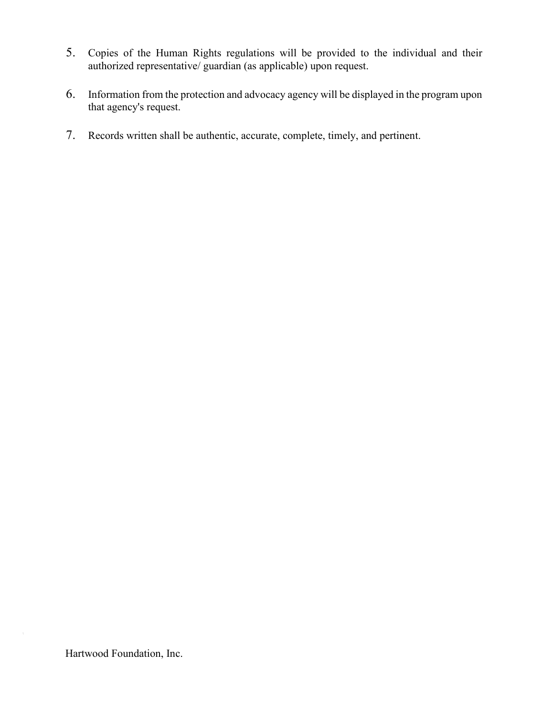- 5. Copies of the Human Rights regulations will be provided to the individual and their authorized representative/ guardian (as applicable) upon request.
- 6. Information from the protection and advocacy agency will be displayed in the program upon that agency's request.
- 7. Records written shall be authentic, accurate, complete, timely, and pertinent.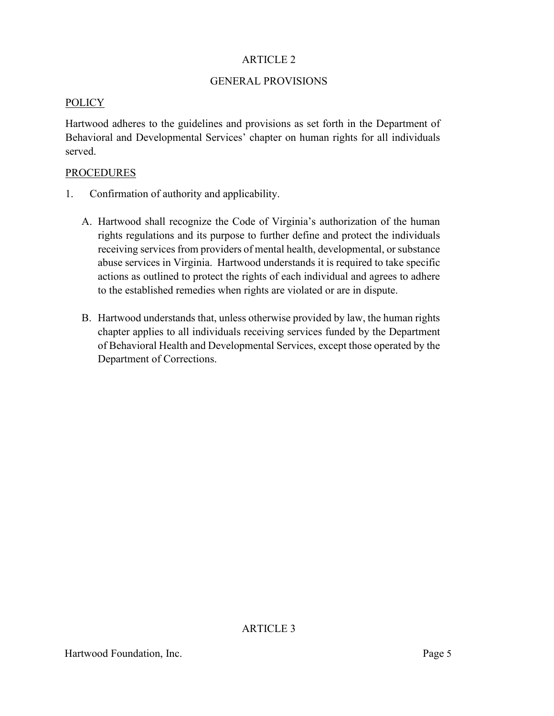#### GENERAL PROVISIONS

#### POLICY

Hartwood adheres to the guidelines and provisions as set forth in the Department of Behavioral and Developmental Services' chapter on human rights for all individuals served.

#### **PROCEDURES**

- 1. Confirmation of authority and applicability.
	- A. Hartwood shall recognize the Code of Virginia's authorization of the human rights regulations and its purpose to further define and protect the individuals receiving services from providers of mental health, developmental, or substance abuse services in Virginia. Hartwood understands it is required to take specific actions as outlined to protect the rights of each individual and agrees to adhere to the established remedies when rights are violated or are in dispute.
	- B. Hartwood understands that, unless otherwise provided by law, the human rights chapter applies to all individuals receiving services funded by the Department of Behavioral Health and Developmental Services, except those operated by the Department of Corrections.

ARTICLE 3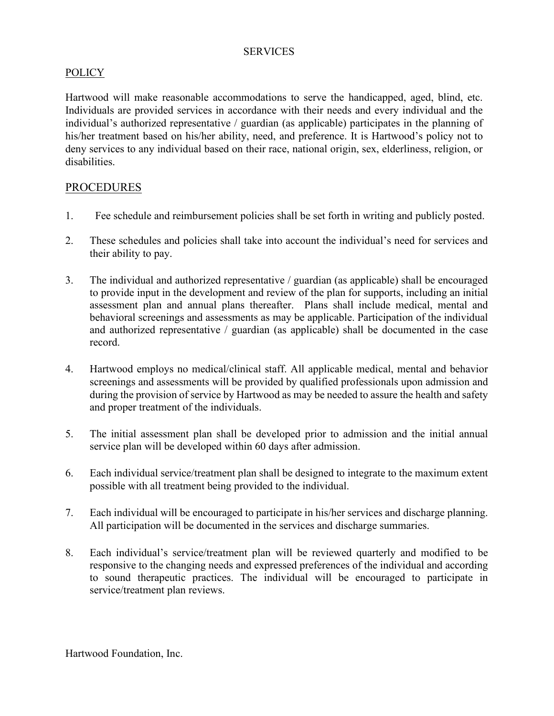#### **SERVICES**

## POLICY

Hartwood will make reasonable accommodations to serve the handicapped, aged, blind, etc. Individuals are provided services in accordance with their needs and every individual and the individual's authorized representative / guardian (as applicable) participates in the planning of his/her treatment based on his/her ability, need, and preference. It is Hartwood's policy not to deny services to any individual based on their race, national origin, sex, elderliness, religion, or disabilities.

## PROCEDURES

- 1. Fee schedule and reimbursement policies shall be set forth in writing and publicly posted.
- 2. These schedules and policies shall take into account the individual's need for services and their ability to pay.
- 3. The individual and authorized representative / guardian (as applicable) shall be encouraged to provide input in the development and review of the plan for supports, including an initial assessment plan and annual plans thereafter. Plans shall include medical, mental and behavioral screenings and assessments as may be applicable. Participation of the individual and authorized representative / guardian (as applicable) shall be documented in the case record.
- 4. Hartwood employs no medical/clinical staff. All applicable medical, mental and behavior screenings and assessments will be provided by qualified professionals upon admission and during the provision of service by Hartwood as may be needed to assure the health and safety and proper treatment of the individuals.
- 5. The initial assessment plan shall be developed prior to admission and the initial annual service plan will be developed within 60 days after admission.
- 6. Each individual service/treatment plan shall be designed to integrate to the maximum extent possible with all treatment being provided to the individual.
- 7. Each individual will be encouraged to participate in his/her services and discharge planning. All participation will be documented in the services and discharge summaries.
- 8. Each individual's service/treatment plan will be reviewed quarterly and modified to be responsive to the changing needs and expressed preferences of the individual and according to sound therapeutic practices. The individual will be encouraged to participate in service/treatment plan reviews.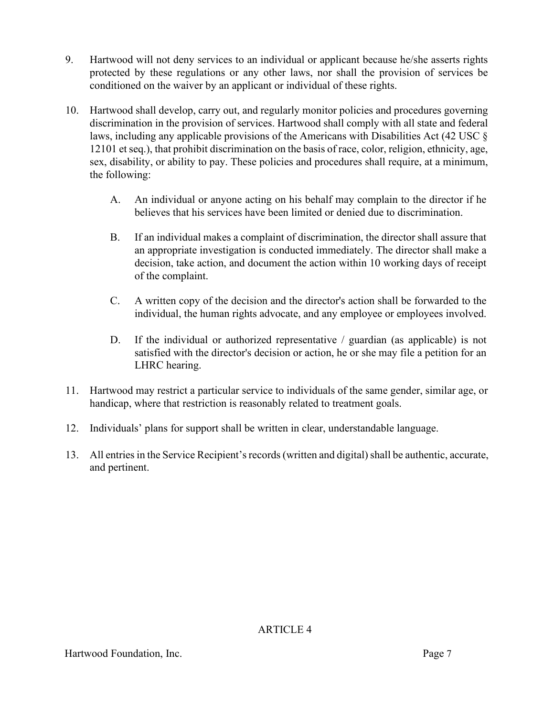- 9. Hartwood will not deny services to an individual or applicant because he/she asserts rights protected by these regulations or any other laws, nor shall the provision of services be conditioned on the waiver by an applicant or individual of these rights.
- 10. Hartwood shall develop, carry out, and regularly monitor policies and procedures governing discrimination in the provision of services. Hartwood shall comply with all state and federal laws, including any applicable provisions of the Americans with Disabilities Act (42 USC § 12101 et seq.), that prohibit discrimination on the basis of race, color, religion, ethnicity, age, sex, disability, or ability to pay. These policies and procedures shall require, at a minimum, the following:
	- A. An individual or anyone acting on his behalf may complain to the director if he believes that his services have been limited or denied due to discrimination.
	- B. If an individual makes a complaint of discrimination, the director shall assure that an appropriate investigation is conducted immediately. The director shall make a decision, take action, and document the action within 10 working days of receipt of the complaint.
	- C. A written copy of the decision and the director's action shall be forwarded to the individual, the human rights advocate, and any employee or employees involved.
	- D. If the individual or authorized representative / guardian (as applicable) is not satisfied with the director's decision or action, he or she may file a petition for an LHRC hearing.
- 11. Hartwood may restrict a particular service to individuals of the same gender, similar age, or handicap, where that restriction is reasonably related to treatment goals.
- 12. Individuals' plans for support shall be written in clear, understandable language.
- 13. All entries in the Service Recipient's records (written and digital) shall be authentic, accurate, and pertinent.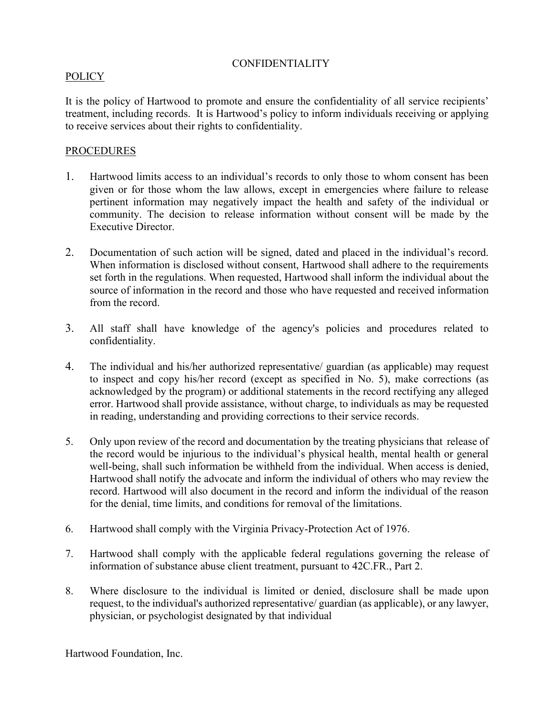## CONFIDENTIALITY

### POLICY

It is the policy of Hartwood to promote and ensure the confidentiality of all service recipients' treatment, including records. It is Hartwood's policy to inform individuals receiving or applying to receive services about their rights to confidentiality.

#### PROCEDURES

- 1. Hartwood limits access to an individual's records to only those to whom consent has been given or for those whom the law allows, except in emergencies where failure to release pertinent information may negatively impact the health and safety of the individual or community. The decision to release information without consent will be made by the Executive Director.
- 2. Documentation of such action will be signed, dated and placed in the individual's record. When information is disclosed without consent, Hartwood shall adhere to the requirements set forth in the regulations. When requested, Hartwood shall inform the individual about the source of information in the record and those who have requested and received information from the record.
- 3. All staff shall have knowledge of the agency's policies and procedures related to confidentiality.
- 4. The individual and his/her authorized representative/ guardian (as applicable) may request to inspect and copy his/her record (except as specified in No. 5), make corrections (as acknowledged by the program) or additional statements in the record rectifying any alleged error. Hartwood shall provide assistance, without charge, to individuals as may be requested in reading, understanding and providing corrections to their service records.
- 5. Only upon review of the record and documentation by the treating physicians that release of the record would be injurious to the individual's physical health, mental health or general well-being, shall such information be withheld from the individual. When access is denied, Hartwood shall notify the advocate and inform the individual of others who may review the record. Hartwood will also document in the record and inform the individual of the reason for the denial, time limits, and conditions for removal of the limitations.
- 6. Hartwood shall comply with the Virginia Privacy-Protection Act of 1976.
- 7. Hartwood shall comply with the applicable federal regulations governing the release of information of substance abuse client treatment, pursuant to 42C.FR., Part 2.
- 8. Where disclosure to the individual is limited or denied, disclosure shall be made upon request, to the individual's authorized representative/ guardian (as applicable), or any lawyer, physician, or psychologist designated by that individual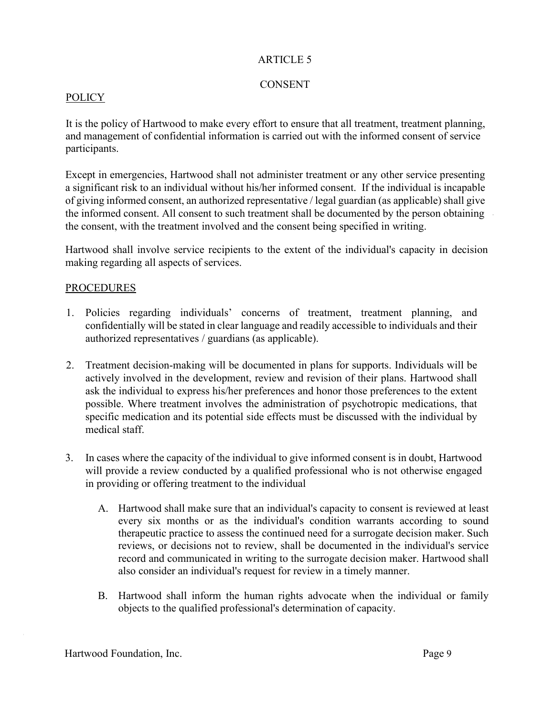## **CONSENT**

## POLICY

It is the policy of Hartwood to make every effort to ensure that all treatment, treatment planning, and management of confidential information is carried out with the informed consent of service participants.

Except in emergencies, Hartwood shall not administer treatment or any other service presenting a significant risk to an individual without his/her informed consent. If the individual is incapable of giving informed consent, an authorized representative / legal guardian (as applicable) shall give the informed consent. All consent to such treatment shall be documented by the person obtaining the consent, with the treatment involved and the consent being specified in writing.

Hartwood shall involve service recipients to the extent of the individual's capacity in decision making regarding all aspects of services.

#### PROCEDURES

- 1. Policies regarding individuals' concerns of treatment, treatment planning, and confidentially will be stated in clear language and readily accessible to individuals and their authorized representatives / guardians (as applicable).
- 2. Treatment decision-making will be documented in plans for supports. Individuals will be actively involved in the development, review and revision of their plans. Hartwood shall ask the individual to express his/her preferences and honor those preferences to the extent possible. Where treatment involves the administration of psychotropic medications, that specific medication and its potential side effects must be discussed with the individual by medical staff.
- 3. In cases where the capacity of the individual to give informed consent is in doubt, Hartwood will provide a review conducted by a qualified professional who is not otherwise engaged in providing or offering treatment to the individual
	- A. Hartwood shall make sure that an individual's capacity to consent is reviewed at least every six months or as the individual's condition warrants according to sound therapeutic practice to assess the continued need for a surrogate decision maker. Such reviews, or decisions not to review, shall be documented in the individual's service record and communicated in writing to the surrogate decision maker. Hartwood shall also consider an individual's request for review in a timely manner.
	- B. Hartwood shall inform the human rights advocate when the individual or family objects to the qualified professional's determination of capacity.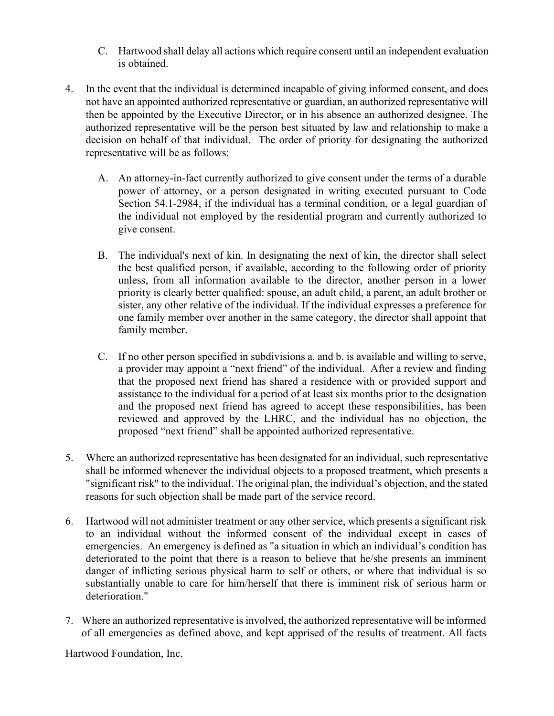- C. Hartwood shall delay all actions which require consent until an independent evaluation is obtained.
- 4. In the event that the individual is determined incapable of giving informed consent, and does not have an appointed authorized representative or guardian, an authorized representative will then be appointed by the Executive Director, or in his absence an authorized designee. The authorized representative will be the person best situated by law and relationship to make a decision on behalf of that individual. The order of priority for designating the authorized representative will be as follows:
	- A. An attorney-in-fact currently authorized to give consent under the terms of a durable power of attorney, or a person designated in writing executed pursuant to Code Section 54.1-2984, if the individual has a terminal condition, or a legal guardian of the individual not employed by the residential program and currently authorized to give consent.
	- B. The individual's next of kin. In designating the next of kin, the director shall select the best qualified person, if available, according to the following order of priority unless, from all information available to the director, another person in a lower priority is clearly better qualified: spouse, an adult child, a parent, an adult brother or sister, any other relative of the individual. If the individual expresses a preference for one family member over another in the same category, the director shall appoint that family member.
	- C. If no other person specified in subdivisions a. and b. is available and willing to serve, a provider may appoint a "next friend" of the individual. After a review and finding that the proposed next friend has shared a residence with or provided support and assistance to the individual for a period of at least six months prior to the designation and the proposed next friend has agreed to accept these responsibilities, has been reviewed and approved by the LHRC, and the individual has no objection, the proposed "next friend" shall be appointed authorized representative.
- 5. Where an authorized representative has been designated for an individual, such representative shall be informed whenever the individual objects to a proposed treatment, which presents a "significant risk" to the individual. The original plan, the individual's objection, and the stated reasons for such objection shall be made part of the service record.
- 6. Hartwood will not administer treatment or any other service, which presents a significant risk to an individual without the informed consent of the individual except in cases of emergencies. An emergency is defined as "a situation in which an individual's condition has deteriorated to the point that there is a reason to believe that he/she presents an imminent danger of inflicting serious physical harm to self or others, or where that individual is so substantially unable to care for him/herself that there is imminent risk of serious harm or deterioration."
- 7. Where an authorized representative is involved, the authorized representative will be informed of all emergencies as defined above, and kept apprised of the results of treatment. All facts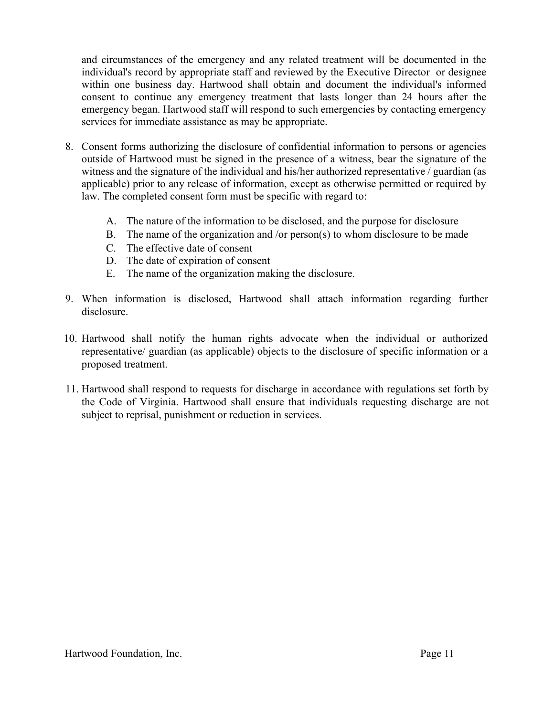and circumstances of the emergency and any related treatment will be documented in the individual's record by appropriate staff and reviewed by the Executive Director or designee within one business day. Hartwood shall obtain and document the individual's informed consent to continue any emergency treatment that lasts longer than 24 hours after the emergency began. Hartwood staff will respond to such emergencies by contacting emergency services for immediate assistance as may be appropriate.

- 8. Consent forms authorizing the disclosure of confidential information to persons or agencies outside of Hartwood must be signed in the presence of a witness, bear the signature of the witness and the signature of the individual and his/her authorized representative / guardian (as applicable) prior to any release of information, except as otherwise permitted or required by law. The completed consent form must be specific with regard to:
	- A. The nature of the information to be disclosed, and the purpose for disclosure
	- B. The name of the organization and /or person(s) to whom disclosure to be made
	- C. The effective date of consent
	- D. The date of expiration of consent
	- E. The name of the organization making the disclosure.
- 9. When information is disclosed, Hartwood shall attach information regarding further disclosure.
- 10. Hartwood shall notify the human rights advocate when the individual or authorized representative/ guardian (as applicable) objects to the disclosure of specific information or a proposed treatment.
- 11. Hartwood shall respond to requests for discharge in accordance with regulations set forth by the Code of Virginia. Hartwood shall ensure that individuals requesting discharge are not subject to reprisal, punishment or reduction in services.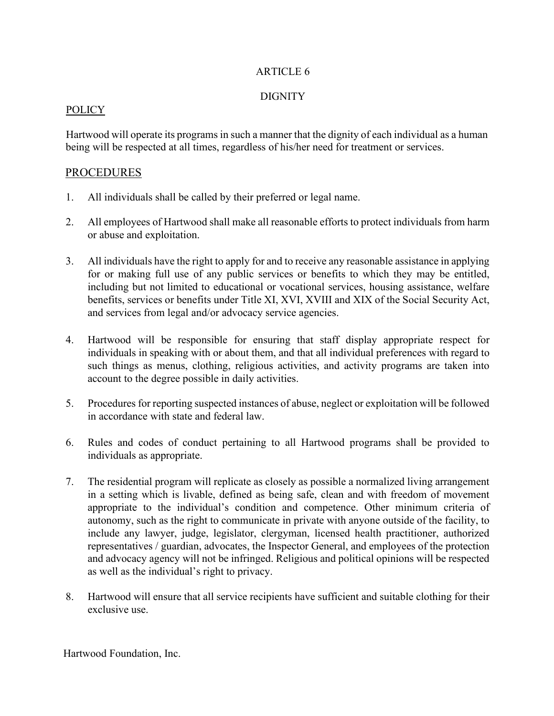## **DIGNITY**

#### POLICY

Hartwood will operate its programs in such a manner that the dignity of each individual as a human being will be respected at all times, regardless of his/her need for treatment or services.

## PROCEDURES

- 1. All individuals shall be called by their preferred or legal name.
- 2. All employees of Hartwood shall make all reasonable efforts to protect individuals from harm or abuse and exploitation.
- 3. All individuals have the right to apply for and to receive any reasonable assistance in applying for or making full use of any public services or benefits to which they may be entitled, including but not limited to educational or vocational services, housing assistance, welfare benefits, services or benefits under Title XI, XVI, XVIII and XIX of the Social Security Act, and services from legal and/or advocacy service agencies.
- 4. Hartwood will be responsible for ensuring that staff display appropriate respect for individuals in speaking with or about them, and that all individual preferences with regard to such things as menus, clothing, religious activities, and activity programs are taken into account to the degree possible in daily activities.
- 5. Procedures for reporting suspected instances of abuse, neglect or exploitation will be followed in accordance with state and federal law.
- 6. Rules and codes of conduct pertaining to all Hartwood programs shall be provided to individuals as appropriate.
- 7. The residential program will replicate as closely as possible a normalized living arrangement in a setting which is livable, defined as being safe, clean and with freedom of movement appropriate to the individual's condition and competence. Other minimum criteria of autonomy, such as the right to communicate in private with anyone outside of the facility, to include any lawyer, judge, legislator, clergyman, licensed health practitioner, authorized representatives / guardian, advocates, the Inspector General, and employees of the protection and advocacy agency will not be infringed. Religious and political opinions will be respected as well as the individual's right to privacy.
- 8. Hartwood will ensure that all service recipients have sufficient and suitable clothing for their exclusive use.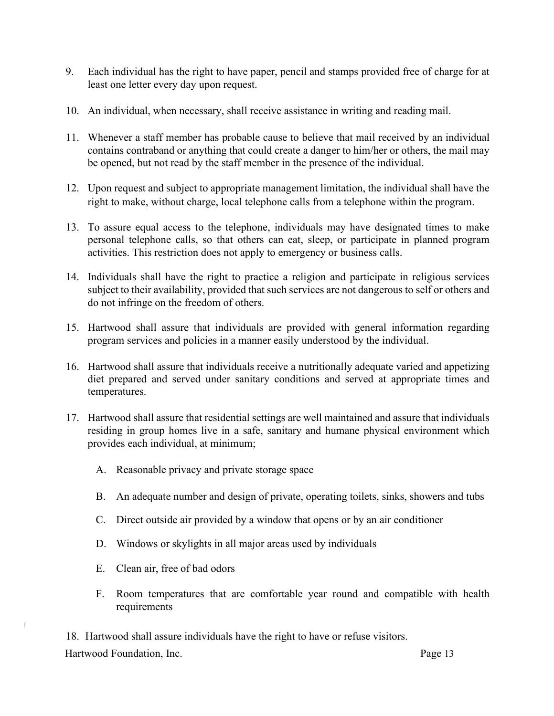- 9. Each individual has the right to have paper, pencil and stamps provided free of charge for at least one letter every day upon request.
- 10. An individual, when necessary, shall receive assistance in writing and reading mail.
- 11. Whenever a staff member has probable cause to believe that mail received by an individual contains contraband or anything that could create a danger to him/her or others, the mail may be opened, but not read by the staff member in the presence of the individual.
- 12. Upon request and subject to appropriate management limitation, the individual shall have the right to make, without charge, local telephone calls from a telephone within the program.
- 13. To assure equal access to the telephone, individuals may have designated times to make personal telephone calls, so that others can eat, sleep, or participate in planned program activities. This restriction does not apply to emergency or business calls.
- 14. Individuals shall have the right to practice a religion and participate in religious services subject to their availability, provided that such services are not dangerous to self or others and do not infringe on the freedom of others.
- 15. Hartwood shall assure that individuals are provided with general information regarding program services and policies in a manner easily understood by the individual.
- 16. Hartwood shall assure that individuals receive a nutritionally adequate varied and appetizing diet prepared and served under sanitary conditions and served at appropriate times and temperatures.
- 17. Hartwood shall assure that residential settings are well maintained and assure that individuals residing in group homes live in a safe, sanitary and humane physical environment which provides each individual, at minimum;
	- A. Reasonable privacy and private storage space
	- B. An adequate number and design of private, operating toilets, sinks, showers and tubs
	- C. Direct outside air provided by a window that opens or by an air conditioner
	- D. Windows or skylights in all major areas used by individuals
	- E. Clean air, free of bad odors
	- F. Room temperatures that are comfortable year round and compatible with health requirements

Hartwood Foundation, Inc. **Page 13** 18. Hartwood shall assure individuals have the right to have or refuse visitors.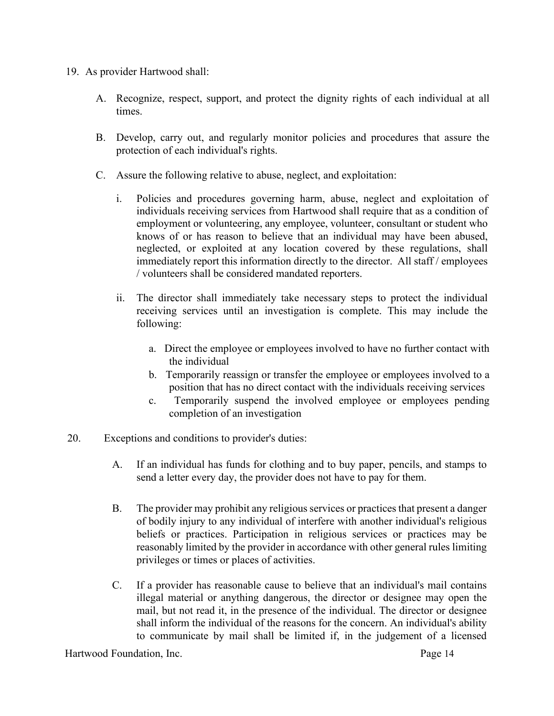- 19. As provider Hartwood shall:
	- A. Recognize, respect, support, and protect the dignity rights of each individual at all times.
	- B. Develop, carry out, and regularly monitor policies and procedures that assure the protection of each individual's rights.
	- C. Assure the following relative to abuse, neglect, and exploitation:
		- i. Policies and procedures governing harm, abuse, neglect and exploitation of individuals receiving services from Hartwood shall require that as a condition of employment or volunteering, any employee, volunteer, consultant or student who knows of or has reason to believe that an individual may have been abused, neglected, or exploited at any location covered by these regulations, shall immediately report this information directly to the director. All staff / employees / volunteers shall be considered mandated reporters.
		- ii. The director shall immediately take necessary steps to protect the individual receiving services until an investigation is complete. This may include the following:
			- a. Direct the employee or employees involved to have no further contact with the individual
			- b. Temporarily reassign or transfer the employee or employees involved to a position that has no direct contact with the individuals receiving services
			- c. Temporarily suspend the involved employee or employees pending completion of an investigation
- 20. Exceptions and conditions to provider's duties:
	- A. If an individual has funds for clothing and to buy paper, pencils, and stamps to send a letter every day, the provider does not have to pay for them.
	- B. The provider may prohibit any religious services or practices that present a danger of bodily injury to any individual of interfere with another individual's religious beliefs or practices. Participation in religious services or practices may be reasonably limited by the provider in accordance with other general rules limiting privileges or times or places of activities.
	- C. If a provider has reasonable cause to believe that an individual's mail contains illegal material or anything dangerous, the director or designee may open the mail, but not read it, in the presence of the individual. The director or designee shall inform the individual of the reasons for the concern. An individual's ability to communicate by mail shall be limited if, in the judgement of a licensed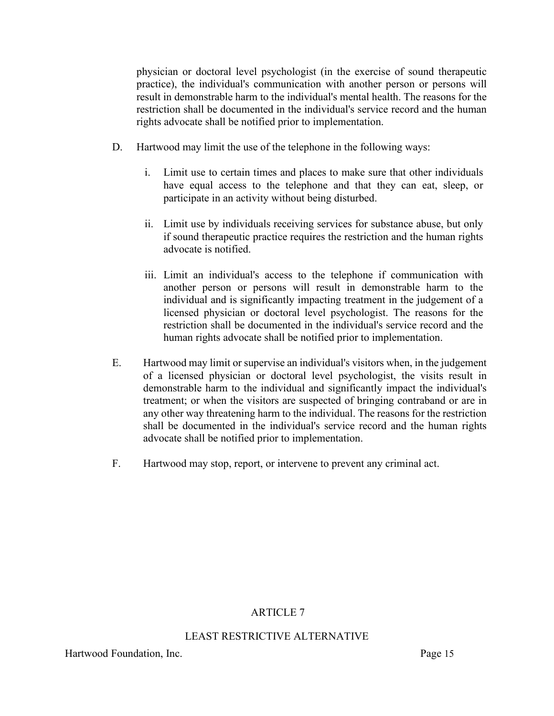physician or doctoral level psychologist (in the exercise of sound therapeutic practice), the individual's communication with another person or persons will result in demonstrable harm to the individual's mental health. The reasons for the restriction shall be documented in the individual's service record and the human rights advocate shall be notified prior to implementation.

- D. Hartwood may limit the use of the telephone in the following ways:
	- i. Limit use to certain times and places to make sure that other individuals have equal access to the telephone and that they can eat, sleep, or participate in an activity without being disturbed.
	- ii. Limit use by individuals receiving services for substance abuse, but only if sound therapeutic practice requires the restriction and the human rights advocate is notified.
	- iii. Limit an individual's access to the telephone if communication with another person or persons will result in demonstrable harm to the individual and is significantly impacting treatment in the judgement of a licensed physician or doctoral level psychologist. The reasons for the restriction shall be documented in the individual's service record and the human rights advocate shall be notified prior to implementation.
- E. Hartwood may limit or supervise an individual's visitors when, in the judgement of a licensed physician or doctoral level psychologist, the visits result in demonstrable harm to the individual and significantly impact the individual's treatment; or when the visitors are suspected of bringing contraband or are in any other way threatening harm to the individual. The reasons for the restriction shall be documented in the individual's service record and the human rights advocate shall be notified prior to implementation.
- F. Hartwood may stop, report, or intervene to prevent any criminal act.

# ARTICLE 7

## LEAST RESTRICTIVE ALTERNATIVE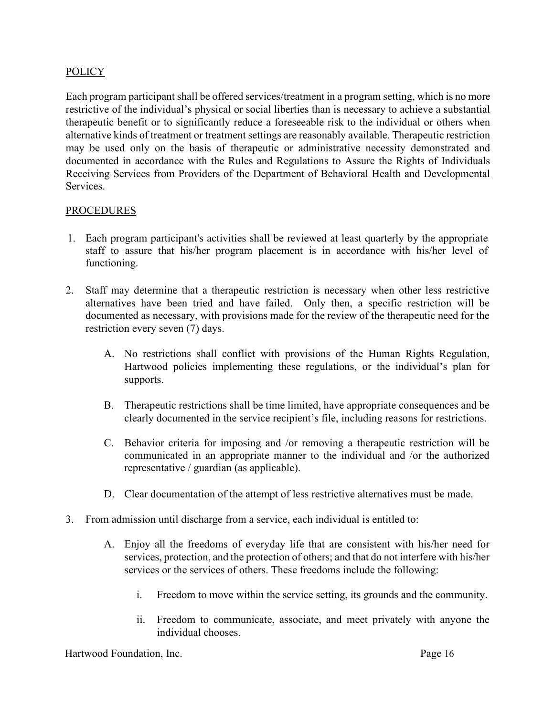## **POLICY**

Each program participant shall be offered services/treatment in a program setting, which is no more restrictive of the individual's physical or social liberties than is necessary to achieve a substantial therapeutic benefit or to significantly reduce a foreseeable risk to the individual or others when alternative kinds of treatment or treatment settings are reasonably available. Therapeutic restriction may be used only on the basis of therapeutic or administrative necessity demonstrated and documented in accordance with the Rules and Regulations to Assure the Rights of Individuals Receiving Services from Providers of the Department of Behavioral Health and Developmental Services.

#### PROCEDURES

- 1. Each program participant's activities shall be reviewed at least quarterly by the appropriate staff to assure that his/her program placement is in accordance with his/her level of functioning.
- 2. Staff may determine that a therapeutic restriction is necessary when other less restrictive alternatives have been tried and have failed. Only then, a specific restriction will be documented as necessary, with provisions made for the review of the therapeutic need for the restriction every seven (7) days.
	- A. No restrictions shall conflict with provisions of the Human Rights Regulation, Hartwood policies implementing these regulations, or the individual's plan for supports.
	- B. Therapeutic restrictions shall be time limited, have appropriate consequences and be clearly documented in the service recipient's file, including reasons for restrictions.
	- C. Behavior criteria for imposing and /or removing a therapeutic restriction will be communicated in an appropriate manner to the individual and /or the authorized representative / guardian (as applicable).
	- D. Clear documentation of the attempt of less restrictive alternatives must be made.
- 3. From admission until discharge from a service, each individual is entitled to:
	- A. Enjoy all the freedoms of everyday life that are consistent with his/her need for services, protection, and the protection of others; and that do not interfere with his/her services or the services of others. These freedoms include the following:
		- i. Freedom to move within the service setting, its grounds and the community.
		- ii. Freedom to communicate, associate, and meet privately with anyone the individual chooses.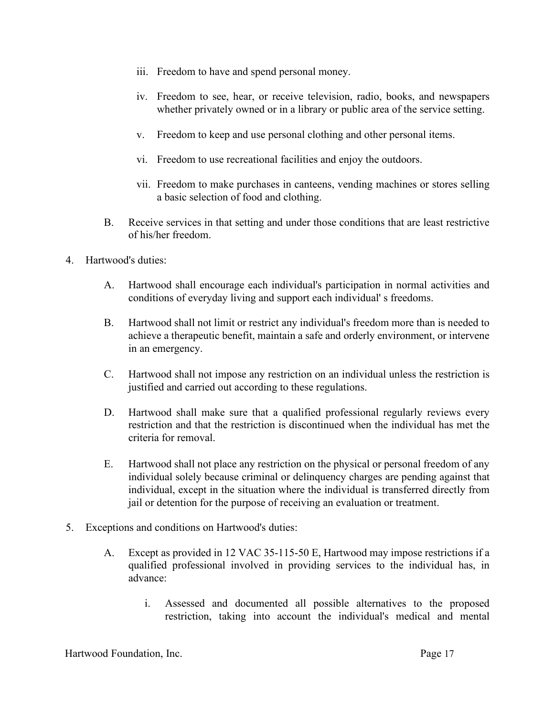- iii. Freedom to have and spend personal money.
- iv. Freedom to see, hear, or receive television, radio, books, and newspapers whether privately owned or in a library or public area of the service setting.
- v. Freedom to keep and use personal clothing and other personal items.
- vi. Freedom to use recreational facilities and enjoy the outdoors.
- vii. Freedom to make purchases in canteens, vending machines or stores selling a basic selection of food and clothing.
- B. Receive services in that setting and under those conditions that are least restrictive of his/her freedom.
- 4. Hartwood's duties:
	- A. Hartwood shall encourage each individual's participation in normal activities and conditions of everyday living and support each individual' s freedoms.
	- B. Hartwood shall not limit or restrict any individual's freedom more than is needed to achieve a therapeutic benefit, maintain a safe and orderly environment, or intervene in an emergency.
	- C. Hartwood shall not impose any restriction on an individual unless the restriction is justified and carried out according to these regulations.
	- D. Hartwood shall make sure that a qualified professional regularly reviews every restriction and that the restriction is discontinued when the individual has met the criteria for removal.
	- E. Hartwood shall not place any restriction on the physical or personal freedom of any individual solely because criminal or delinquency charges are pending against that individual, except in the situation where the individual is transferred directly from jail or detention for the purpose of receiving an evaluation or treatment.
- 5. Exceptions and conditions on Hartwood's duties:
	- A. Except as provided in 12 VAC 35-115-50 E, Hartwood may impose restrictions if a qualified professional involved in providing services to the individual has, in advance:
		- i. Assessed and documented all possible alternatives to the proposed restriction, taking into account the individual's medical and mental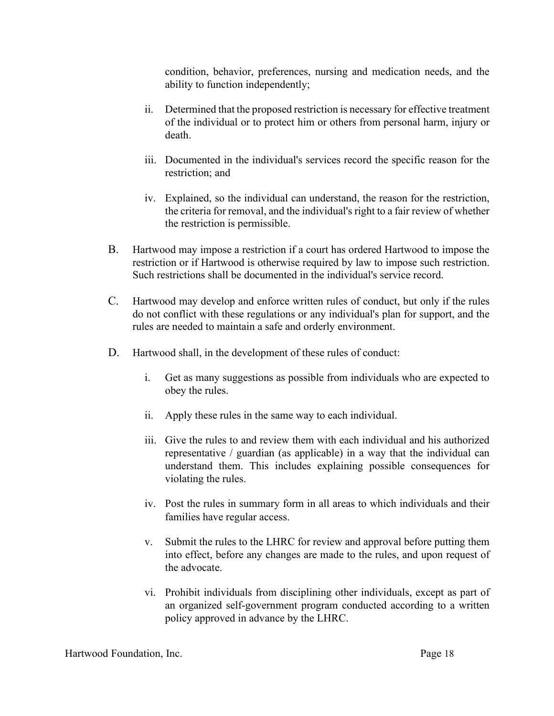condition, behavior, preferences, nursing and medication needs, and the ability to function independently;

- ii. Determined that the proposed restriction is necessary for effective treatment of the individual or to protect him or others from personal harm, injury or death.
- iii. Documented in the individual's services record the specific reason for the restriction; and
- iv. Explained, so the individual can understand, the reason for the restriction, the criteria for removal, and the individual's right to a fair review of whether the restriction is permissible.
- B. Hartwood may impose a restriction if a court has ordered Hartwood to impose the restriction or if Hartwood is otherwise required by law to impose such restriction. Such restrictions shall be documented in the individual's service record.
- C. Hartwood may develop and enforce written rules of conduct, but only if the rules do not conflict with these regulations or any individual's plan for support, and the rules are needed to maintain a safe and orderly environment.
- D. Hartwood shall, in the development of these rules of conduct:
	- i. Get as many suggestions as possible from individuals who are expected to obey the rules.
	- ii. Apply these rules in the same way to each individual.
	- iii. Give the rules to and review them with each individual and his authorized representative / guardian (as applicable) in a way that the individual can understand them. This includes explaining possible consequences for violating the rules.
	- iv. Post the rules in summary form in all areas to which individuals and their families have regular access.
	- v. Submit the rules to the LHRC for review and approval before putting them into effect, before any changes are made to the rules, and upon request of the advocate.
	- vi. Prohibit individuals from disciplining other individuals, except as part of an organized self-government program conducted according to a written policy approved in advance by the LHRC.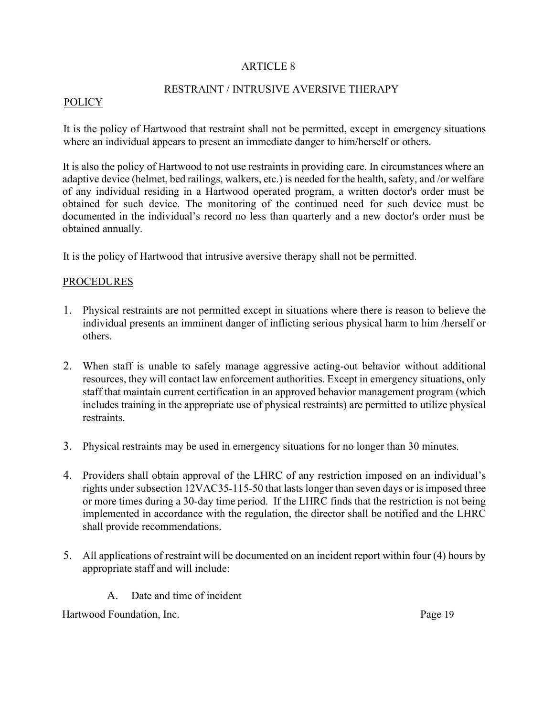## RESTRAINT / INTRUSIVE AVERSIVE THERAPY

#### POLICY

It is the policy of Hartwood that restraint shall not be permitted, except in emergency situations where an individual appears to present an immediate danger to him/herself or others.

It is also the policy of Hartwood to not use restraints in providing care. In circumstances where an adaptive device (helmet, bed railings, walkers, etc.) is needed for the health, safety, and /or welfare of any individual residing in a Hartwood operated program, a written doctor's order must be obtained for such device. The monitoring of the continued need for such device must be documented in the individual's record no less than quarterly and a new doctor's order must be obtained annually.

It is the policy of Hartwood that intrusive aversive therapy shall not be permitted.

## **PROCEDURES**

- 1. Physical restraints are not permitted except in situations where there is reason to believe the individual presents an imminent danger of inflicting serious physical harm to him /herself or others.
- 2. When staff is unable to safely manage aggressive acting-out behavior without additional resources, they will contact law enforcement authorities. Except in emergency situations, only staff that maintain current certification in an approved behavior management program (which includes training in the appropriate use of physical restraints) are permitted to utilize physical restraints.
- 3. Physical restraints may be used in emergency situations for no longer than 30 minutes.
- 4. Providers shall obtain approval of the LHRC of any restriction imposed on an individual's rights under subsection 12VAC35-115-50 that lasts longer than seven days or is imposed three or more times during a 30-day time period. If the LHRC finds that the restriction is not being implemented in accordance with the regulation, the director shall be notified and the LHRC shall provide recommendations.
- 5. All applications of restraint will be documented on an incident report within four (4) hours by appropriate staff and will include:
	- A. Date and time of incident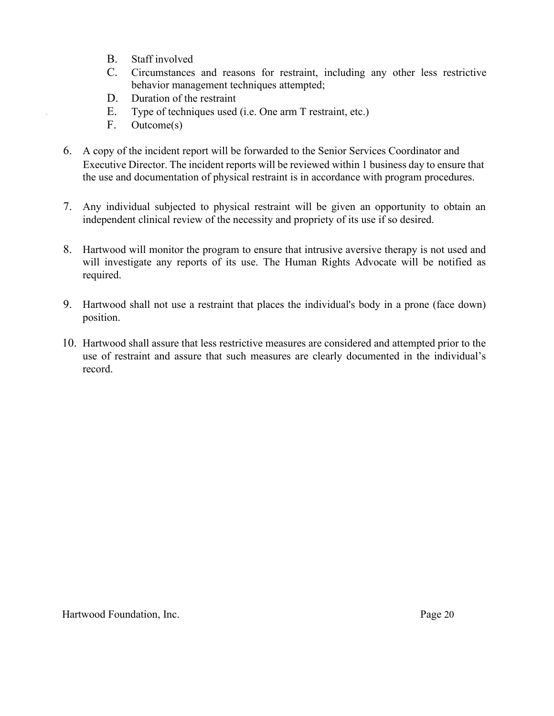- B. Staff involved
- C. Circumstances and reasons for restraint, including any other less restrictive behavior management techniques attempted;
- D. Duration of the restraint
- E. Type of techniques used (i.e. One arm T restraint, etc.)
- F. Outcome(s)
- 6. A copy of the incident report will be forwarded to the Senior Services Coordinator and Executive Director. The incident reports will be reviewed within 1 business day to ensure that the use and documentation of physical restraint is in accordance with program procedures.
- 7. Any individual subjected to physical restraint will be given an opportunity to obtain an independent clinical review of the necessity and propriety of its use if so desired.
- 8. Hartwood will monitor the program to ensure that intrusive aversive therapy is not used and will investigate any reports of its use. The Human Rights Advocate will be notified as required.
- 9. Hartwood shall not use a restraint that places the individual's body in a prone (face down) position.
- 10. Hartwood shall assure that less restrictive measures are considered and attempted prior to the use of restraint and assure that such measures are clearly documented in the individual's record.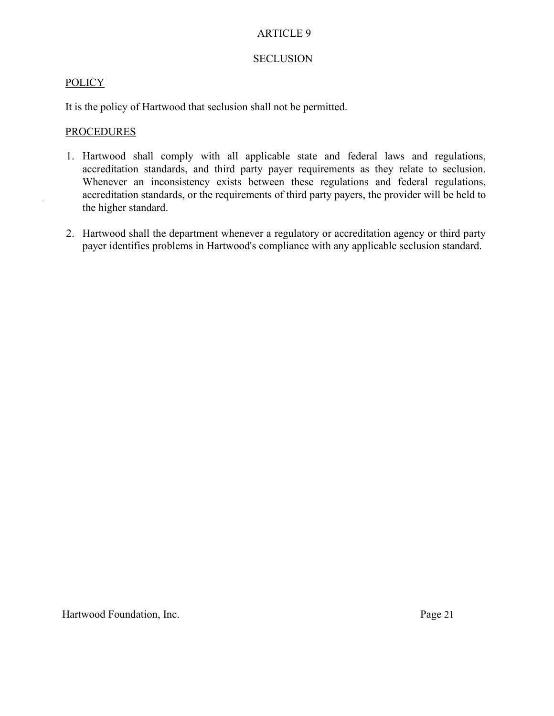### SECLUSION

## **POLICY**

It is the policy of Hartwood that seclusion shall not be permitted.

## **PROCEDURES**

- 1. Hartwood shall comply with all applicable state and federal laws and regulations, accreditation standards, and third party payer requirements as they relate to seclusion. Whenever an inconsistency exists between these regulations and federal regulations, accreditation standards, or the requirements of third party payers, the provider will be held to the higher standard.
- 2. Hartwood shall the department whenever a regulatory or accreditation agency or third party payer identifies problems in Hartwood's compliance with any applicable seclusion standard.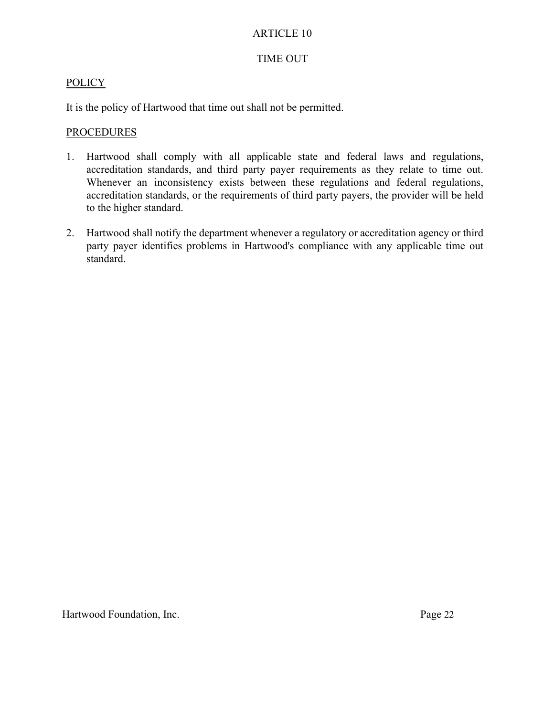## TIME OUT

## POLICY

It is the policy of Hartwood that time out shall not be permitted.

## PROCEDURES

- 1. Hartwood shall comply with all applicable state and federal laws and regulations, accreditation standards, and third party payer requirements as they relate to time out. Whenever an inconsistency exists between these regulations and federal regulations, accreditation standards, or the requirements of third party payers, the provider will be held to the higher standard.
- 2. Hartwood shall notify the department whenever a regulatory or accreditation agency or third party payer identifies problems in Hartwood's compliance with any applicable time out standard.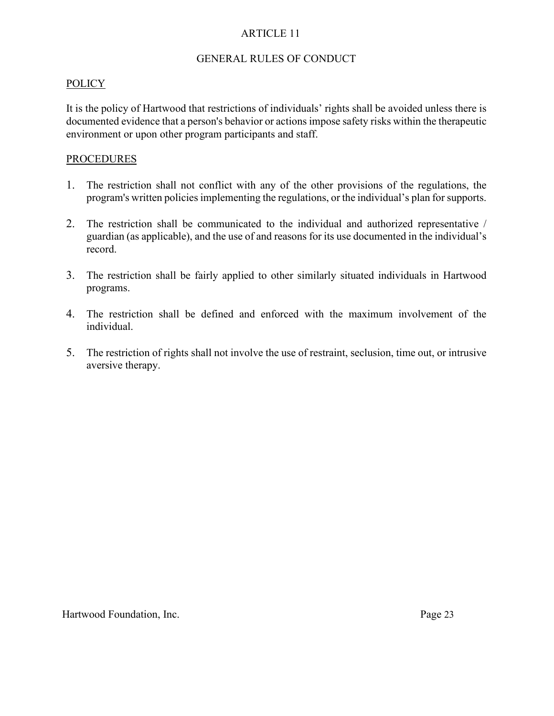#### GENERAL RULES OF CONDUCT

## POLICY

It is the policy of Hartwood that restrictions of individuals' rights shall be avoided unless there is documented evidence that a person's behavior or actions impose safety risks within the therapeutic environment or upon other program participants and staff.

#### **PROCEDURES**

- 1. The restriction shall not conflict with any of the other provisions of the regulations, the program's written policies implementing the regulations, or the individual's plan for supports.
- 2. The restriction shall be communicated to the individual and authorized representative / guardian (as applicable), and the use of and reasons for its use documented in the individual's record.
- 3. The restriction shall be fairly applied to other similarly situated individuals in Hartwood programs.
- 4. The restriction shall be defined and enforced with the maximum involvement of the individual.
- 5. The restriction of rights shall not involve the use of restraint, seclusion, time out, or intrusive aversive therapy.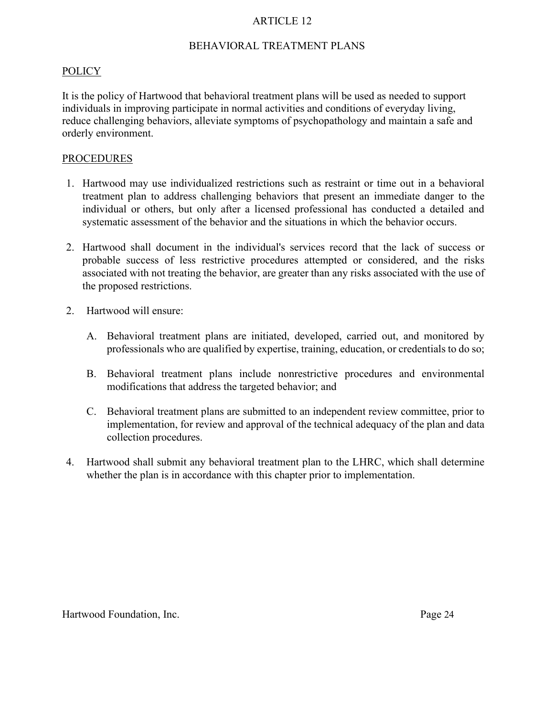## BEHAVIORAL TREATMENT PLANS

#### **POLICY**

It is the policy of Hartwood that behavioral treatment plans will be used as needed to support individuals in improving participate in normal activities and conditions of everyday living, reduce challenging behaviors, alleviate symptoms of psychopathology and maintain a safe and orderly environment.

#### **PROCEDURES**

- 1. Hartwood may use individualized restrictions such as restraint or time out in a behavioral treatment plan to address challenging behaviors that present an immediate danger to the individual or others, but only after a licensed professional has conducted a detailed and systematic assessment of the behavior and the situations in which the behavior occurs.
- 2. Hartwood shall document in the individual's services record that the lack of success or probable success of less restrictive procedures attempted or considered, and the risks associated with not treating the behavior, are greater than any risks associated with the use of the proposed restrictions.
- 2. Hartwood will ensure:
	- A. Behavioral treatment plans are initiated, developed, carried out, and monitored by professionals who are qualified by expertise, training, education, or credentials to do so;
	- B. Behavioral treatment plans include nonrestrictive procedures and environmental modifications that address the targeted behavior; and
	- C. Behavioral treatment plans are submitted to an independent review committee, prior to implementation, for review and approval of the technical adequacy of the plan and data collection procedures.
- 4. Hartwood shall submit any behavioral treatment plan to the LHRC, which shall determine whether the plan is in accordance with this chapter prior to implementation.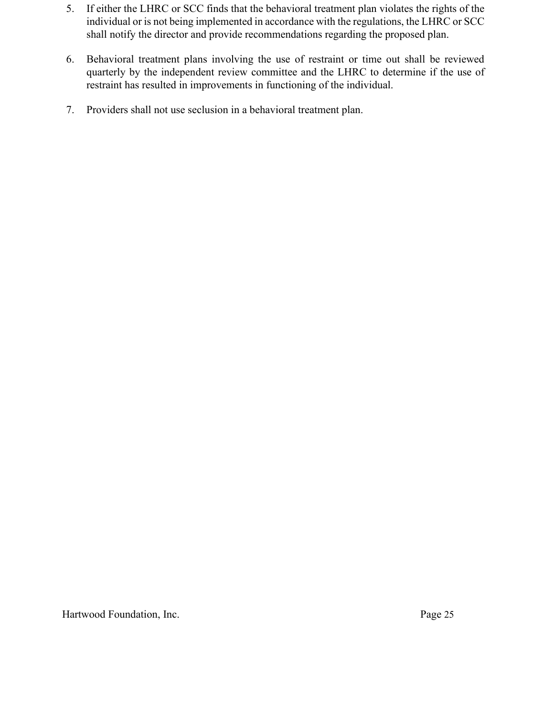- 5. If either the LHRC or SCC finds that the behavioral treatment plan violates the rights of the individual or is not being implemented in accordance with the regulations, the LHRC or SCC shall notify the director and provide recommendations regarding the proposed plan.
- 6. Behavioral treatment plans involving the use of restraint or time out shall be reviewed quarterly by the independent review committee and the LHRC to determine if the use of restraint has resulted in improvements in functioning of the individual.
- 7. Providers shall not use seclusion in a behavioral treatment plan.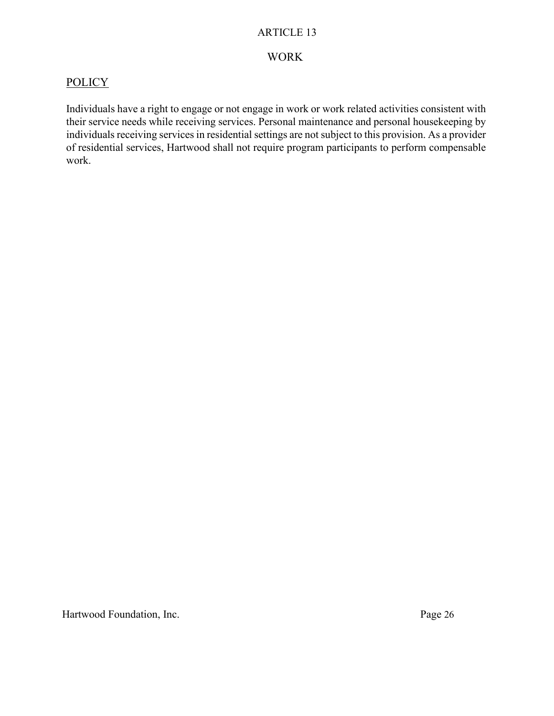# WORK

# **POLICY**

Individuals have a right to engage or not engage in work or work related activities consistent with their service needs while receiving services. Personal maintenance and personal housekeeping by individuals receiving services in residential settings are not subject to this provision. As a provider of residential services, Hartwood shall not require program participants to perform compensable work.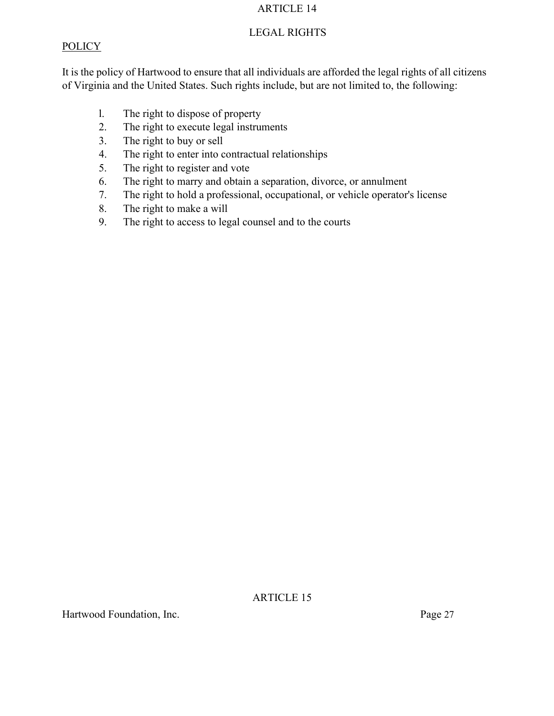## LEGAL RIGHTS

## **POLICY**

It is the policy of Hartwood to ensure that all individuals are afforded the legal rights of all citizens of Virginia and the United States. Such rights include, but are not limited to, the following:

- l. The right to dispose of property
- 2. The right to execute legal instruments
- 3. The right to buy or sell
- 4. The right to enter into contractual relationships
- 5. The right to register and vote
- 6. The right to marry and obtain a separation, divorce, or annulment
- 7. The right to hold a professional, occupational, or vehicle operator's license
- 8. The right to make a will
- 9. The right to access to legal counsel and to the courts

ARTICLE 15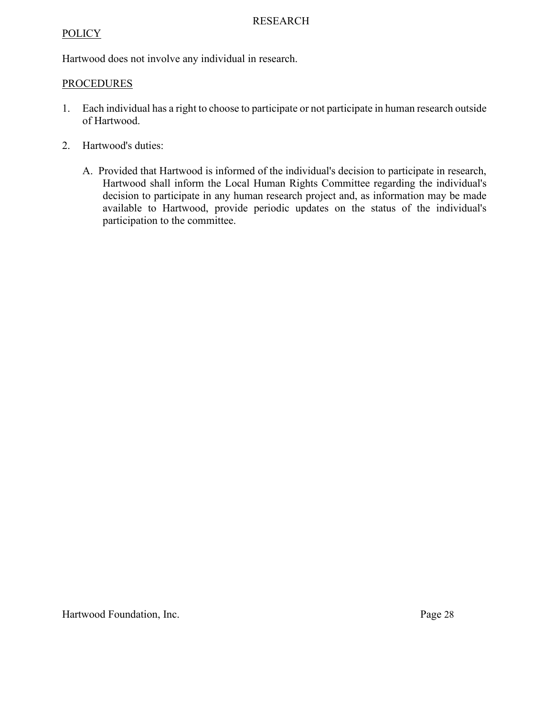## **POLICY**

Hartwood does not involve any individual in research.

## PROCEDURES

- 1. Each individual has a right to choose to participate or not participate in human research outside of Hartwood.
- 2. Hartwood's duties:
	- A. Provided that Hartwood is informed of the individual's decision to participate in research, Hartwood shall inform the Local Human Rights Committee regarding the individual's decision to participate in any human research project and, as information may be made available to Hartwood, provide periodic updates on the status of the individual's participation to the committee.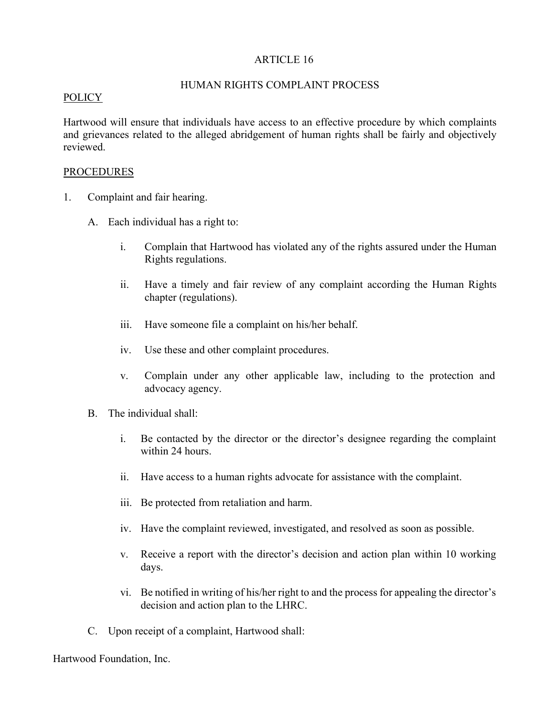## HUMAN RIGHTS COMPLAINT PROCESS

#### POLICY

Hartwood will ensure that individuals have access to an effective procedure by which complaints and grievances related to the alleged abridgement of human rights shall be fairly and objectively reviewed.

## PROCEDURES

- 1. Complaint and fair hearing.
	- A. Each individual has a right to:
		- i. Complain that Hartwood has violated any of the rights assured under the Human Rights regulations.
		- ii. Have a timely and fair review of any complaint according the Human Rights chapter (regulations).
		- iii. Have someone file a complaint on his/her behalf.
		- iv. Use these and other complaint procedures.
		- v. Complain under any other applicable law, including to the protection and advocacy agency.
	- B. The individual shall:
		- i. Be contacted by the director or the director's designee regarding the complaint within 24 hours.
		- ii. Have access to a human rights advocate for assistance with the complaint.
		- iii. Be protected from retaliation and harm.
		- iv. Have the complaint reviewed, investigated, and resolved as soon as possible.
		- v. Receive a report with the director's decision and action plan within 10 working days.
		- vi. Be notified in writing of his/her right to and the process for appealing the director's decision and action plan to the LHRC.
	- C. Upon receipt of a complaint, Hartwood shall: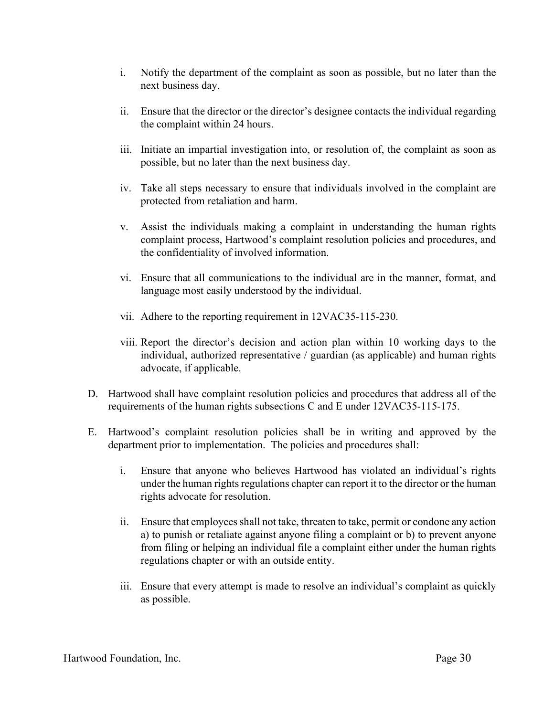- i. Notify the department of the complaint as soon as possible, but no later than the next business day.
- ii. Ensure that the director or the director's designee contacts the individual regarding the complaint within 24 hours.
- iii. Initiate an impartial investigation into, or resolution of, the complaint as soon as possible, but no later than the next business day.
- iv. Take all steps necessary to ensure that individuals involved in the complaint are protected from retaliation and harm.
- v. Assist the individuals making a complaint in understanding the human rights complaint process, Hartwood's complaint resolution policies and procedures, and the confidentiality of involved information.
- vi. Ensure that all communications to the individual are in the manner, format, and language most easily understood by the individual.
- vii. Adhere to the reporting requirement in 12VAC35-115-230.
- viii. Report the director's decision and action plan within 10 working days to the individual, authorized representative / guardian (as applicable) and human rights advocate, if applicable.
- D. Hartwood shall have complaint resolution policies and procedures that address all of the requirements of the human rights subsections C and E under 12VAC35-115-175.
- E. Hartwood's complaint resolution policies shall be in writing and approved by the department prior to implementation. The policies and procedures shall:
	- i. Ensure that anyone who believes Hartwood has violated an individual's rights under the human rights regulations chapter can report it to the director or the human rights advocate for resolution.
	- ii. Ensure that employees shall not take, threaten to take, permit or condone any action a) to punish or retaliate against anyone filing a complaint or b) to prevent anyone from filing or helping an individual file a complaint either under the human rights regulations chapter or with an outside entity.
	- iii. Ensure that every attempt is made to resolve an individual's complaint as quickly as possible.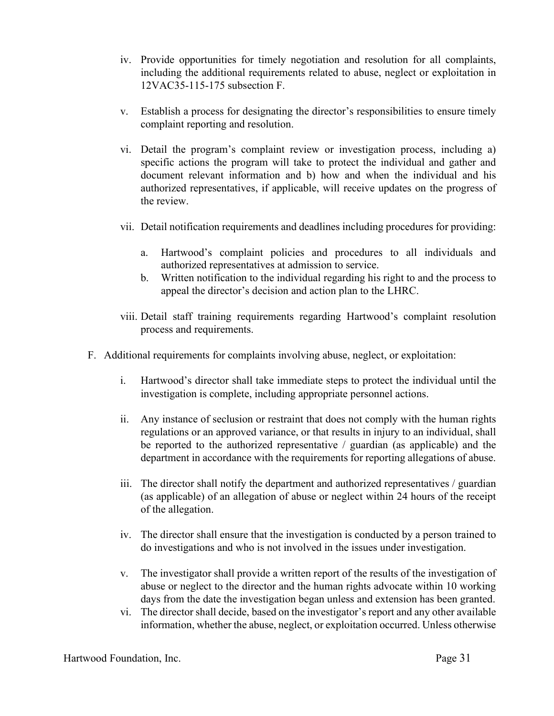- iv. Provide opportunities for timely negotiation and resolution for all complaints, including the additional requirements related to abuse, neglect or exploitation in 12VAC35-115-175 subsection F.
- v. Establish a process for designating the director's responsibilities to ensure timely complaint reporting and resolution.
- vi. Detail the program's complaint review or investigation process, including a) specific actions the program will take to protect the individual and gather and document relevant information and b) how and when the individual and his authorized representatives, if applicable, will receive updates on the progress of the review.
- vii. Detail notification requirements and deadlines including procedures for providing:
	- a. Hartwood's complaint policies and procedures to all individuals and authorized representatives at admission to service.
	- b. Written notification to the individual regarding his right to and the process to appeal the director's decision and action plan to the LHRC.
- viii. Detail staff training requirements regarding Hartwood's complaint resolution process and requirements.
- F. Additional requirements for complaints involving abuse, neglect, or exploitation:
	- i. Hartwood's director shall take immediate steps to protect the individual until the investigation is complete, including appropriate personnel actions.
	- ii. Any instance of seclusion or restraint that does not comply with the human rights regulations or an approved variance, or that results in injury to an individual, shall be reported to the authorized representative / guardian (as applicable) and the department in accordance with the requirements for reporting allegations of abuse.
	- iii. The director shall notify the department and authorized representatives / guardian (as applicable) of an allegation of abuse or neglect within 24 hours of the receipt of the allegation.
	- iv. The director shall ensure that the investigation is conducted by a person trained to do investigations and who is not involved in the issues under investigation.
	- v. The investigator shall provide a written report of the results of the investigation of abuse or neglect to the director and the human rights advocate within 10 working days from the date the investigation began unless and extension has been granted.
	- vi. The director shall decide, based on the investigator's report and any other available information, whether the abuse, neglect, or exploitation occurred. Unless otherwise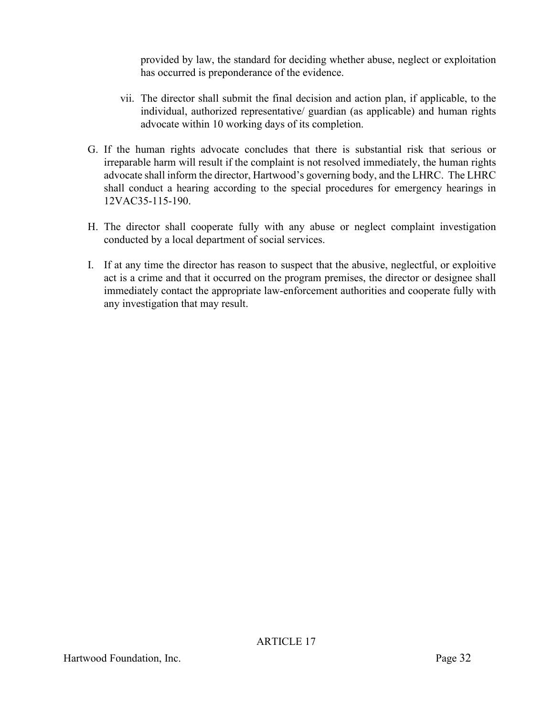provided by law, the standard for deciding whether abuse, neglect or exploitation has occurred is preponderance of the evidence.

- vii. The director shall submit the final decision and action plan, if applicable, to the individual, authorized representative/ guardian (as applicable) and human rights advocate within 10 working days of its completion.
- G. If the human rights advocate concludes that there is substantial risk that serious or irreparable harm will result if the complaint is not resolved immediately, the human rights advocate shall inform the director, Hartwood's governing body, and the LHRC. The LHRC shall conduct a hearing according to the special procedures for emergency hearings in 12VAC35-115-190.
- H. The director shall cooperate fully with any abuse or neglect complaint investigation conducted by a local department of social services.
- I. If at any time the director has reason to suspect that the abusive, neglectful, or exploitive act is a crime and that it occurred on the program premises, the director or designee shall immediately contact the appropriate law-enforcement authorities and cooperate fully with any investigation that may result.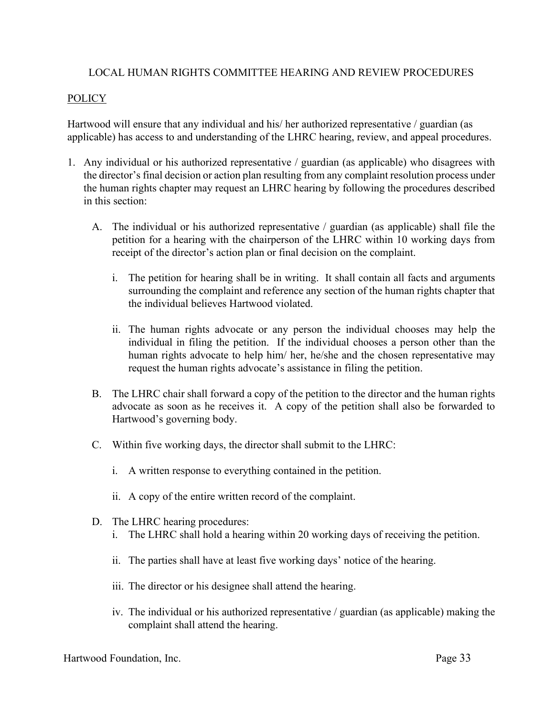## LOCAL HUMAN RIGHTS COMMITTEE HEARING AND REVIEW PROCEDURES

## POLICY

Hartwood will ensure that any individual and his/ her authorized representative / guardian (as applicable) has access to and understanding of the LHRC hearing, review, and appeal procedures.

- 1. Any individual or his authorized representative / guardian (as applicable) who disagrees with the director's final decision or action plan resulting from any complaint resolution process under the human rights chapter may request an LHRC hearing by following the procedures described in this section:
	- A. The individual or his authorized representative / guardian (as applicable) shall file the petition for a hearing with the chairperson of the LHRC within 10 working days from receipt of the director's action plan or final decision on the complaint.
		- i. The petition for hearing shall be in writing. It shall contain all facts and arguments surrounding the complaint and reference any section of the human rights chapter that the individual believes Hartwood violated.
		- ii. The human rights advocate or any person the individual chooses may help the individual in filing the petition. If the individual chooses a person other than the human rights advocate to help him/ her, he/she and the chosen representative may request the human rights advocate's assistance in filing the petition.
	- B. The LHRC chair shall forward a copy of the petition to the director and the human rights advocate as soon as he receives it. A copy of the petition shall also be forwarded to Hartwood's governing body.
	- C. Within five working days, the director shall submit to the LHRC:
		- i. A written response to everything contained in the petition.
		- ii. A copy of the entire written record of the complaint.
	- D. The LHRC hearing procedures:
		- i. The LHRC shall hold a hearing within 20 working days of receiving the petition.
		- ii. The parties shall have at least five working days' notice of the hearing.
		- iii. The director or his designee shall attend the hearing.
		- iv. The individual or his authorized representative / guardian (as applicable) making the complaint shall attend the hearing.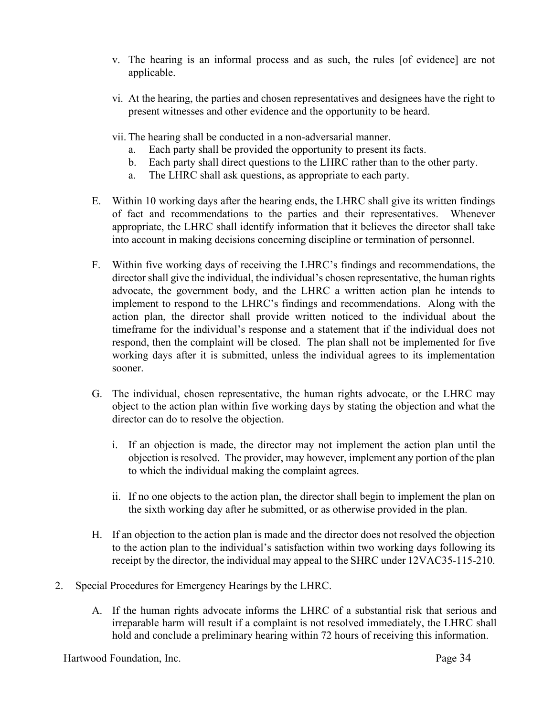- v. The hearing is an informal process and as such, the rules [of evidence] are not applicable.
- vi. At the hearing, the parties and chosen representatives and designees have the right to present witnesses and other evidence and the opportunity to be heard.
- vii. The hearing shall be conducted in a non-adversarial manner.
	- a. Each party shall be provided the opportunity to present its facts.
	- b. Each party shall direct questions to the LHRC rather than to the other party.
	- a. The LHRC shall ask questions, as appropriate to each party.
- E. Within 10 working days after the hearing ends, the LHRC shall give its written findings of fact and recommendations to the parties and their representatives. Whenever appropriate, the LHRC shall identify information that it believes the director shall take into account in making decisions concerning discipline or termination of personnel.
- F. Within five working days of receiving the LHRC's findings and recommendations, the director shall give the individual, the individual's chosen representative, the human rights advocate, the government body, and the LHRC a written action plan he intends to implement to respond to the LHRC's findings and recommendations. Along with the action plan, the director shall provide written noticed to the individual about the timeframe for the individual's response and a statement that if the individual does not respond, then the complaint will be closed. The plan shall not be implemented for five working days after it is submitted, unless the individual agrees to its implementation sooner.
- G. The individual, chosen representative, the human rights advocate, or the LHRC may object to the action plan within five working days by stating the objection and what the director can do to resolve the objection.
	- i. If an objection is made, the director may not implement the action plan until the objection is resolved. The provider, may however, implement any portion of the plan to which the individual making the complaint agrees.
	- ii. If no one objects to the action plan, the director shall begin to implement the plan on the sixth working day after he submitted, or as otherwise provided in the plan.
- H. If an objection to the action plan is made and the director does not resolved the objection to the action plan to the individual's satisfaction within two working days following its receipt by the director, the individual may appeal to the SHRC under 12VAC35-115-210.
- 2. Special Procedures for Emergency Hearings by the LHRC.
	- A. If the human rights advocate informs the LHRC of a substantial risk that serious and irreparable harm will result if a complaint is not resolved immediately, the LHRC shall hold and conclude a preliminary hearing within 72 hours of receiving this information.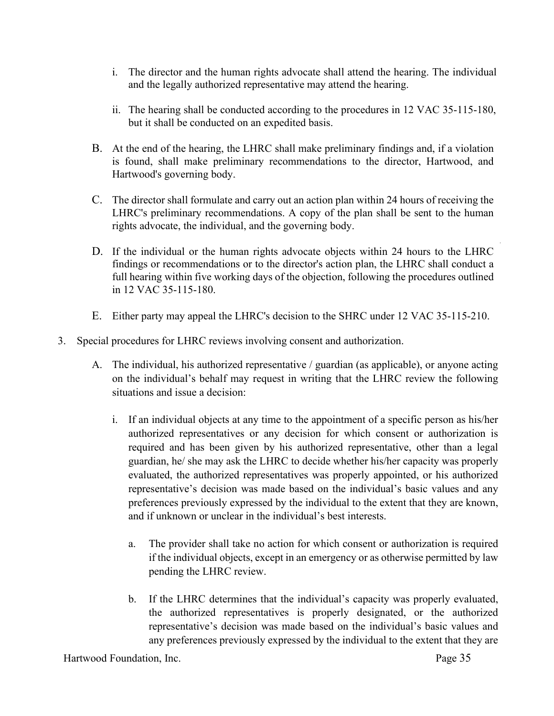- i. The director and the human rights advocate shall attend the hearing. The individual and the legally authorized representative may attend the hearing.
- ii. The hearing shall be conducted according to the procedures in 12 VAC 35-115-180, but it shall be conducted on an expedited basis.
- B. At the end of the hearing, the LHRC shall make preliminary findings and, if a violation is found, shall make preliminary recommendations to the director, Hartwood, and Hartwood's governing body.
- C. The director shall formulate and carry out an action plan within 24 hours of receiving the LHRC's preliminary recommendations. A copy of the plan shall be sent to the human rights advocate, the individual, and the governing body.
- D. If the individual or the human rights advocate objects within 24 hours to the LHRC findings or recommendations or to the director's action plan, the LHRC shall conduct a full hearing within five working days of the objection, following the procedures outlined in 12 VAC 35-115-180.
- E. Either party may appeal the LHRC's decision to the SHRC under 12 VAC 35-115-210.
- 3. Special procedures for LHRC reviews involving consent and authorization.
	- A. The individual, his authorized representative / guardian (as applicable), or anyone acting on the individual's behalf may request in writing that the LHRC review the following situations and issue a decision:
		- i. If an individual objects at any time to the appointment of a specific person as his/her authorized representatives or any decision for which consent or authorization is required and has been given by his authorized representative, other than a legal guardian, he/ she may ask the LHRC to decide whether his/her capacity was properly evaluated, the authorized representatives was properly appointed, or his authorized representative's decision was made based on the individual's basic values and any preferences previously expressed by the individual to the extent that they are known, and if unknown or unclear in the individual's best interests.
			- a. The provider shall take no action for which consent or authorization is required if the individual objects, except in an emergency or as otherwise permitted by law pending the LHRC review.
			- b. If the LHRC determines that the individual's capacity was properly evaluated, the authorized representatives is properly designated, or the authorized representative's decision was made based on the individual's basic values and any preferences previously expressed by the individual to the extent that they are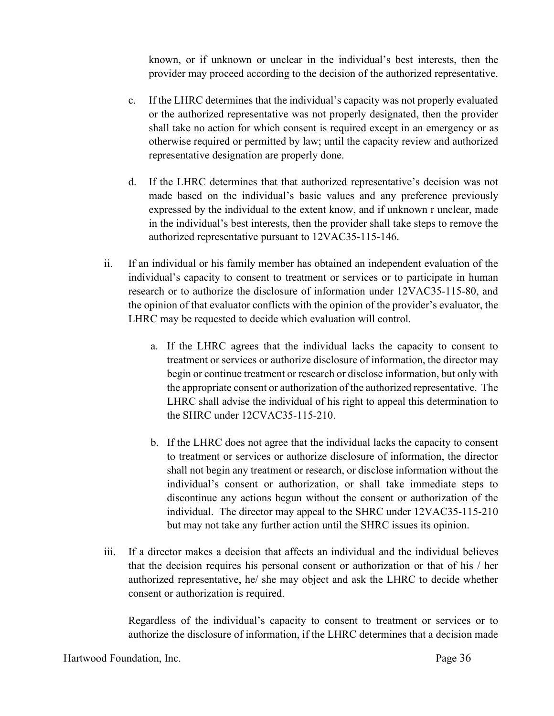known, or if unknown or unclear in the individual's best interests, then the provider may proceed according to the decision of the authorized representative.

- c. If the LHRC determines that the individual's capacity was not properly evaluated or the authorized representative was not properly designated, then the provider shall take no action for which consent is required except in an emergency or as otherwise required or permitted by law; until the capacity review and authorized representative designation are properly done.
- d. If the LHRC determines that that authorized representative's decision was not made based on the individual's basic values and any preference previously expressed by the individual to the extent know, and if unknown r unclear, made in the individual's best interests, then the provider shall take steps to remove the authorized representative pursuant to 12VAC35-115-146.
- ii. If an individual or his family member has obtained an independent evaluation of the individual's capacity to consent to treatment or services or to participate in human research or to authorize the disclosure of information under 12VAC35-115-80, and the opinion of that evaluator conflicts with the opinion of the provider's evaluator, the LHRC may be requested to decide which evaluation will control.
	- a. If the LHRC agrees that the individual lacks the capacity to consent to treatment or services or authorize disclosure of information, the director may begin or continue treatment or research or disclose information, but only with the appropriate consent or authorization of the authorized representative. The LHRC shall advise the individual of his right to appeal this determination to the SHRC under 12CVAC35-115-210.
	- b. If the LHRC does not agree that the individual lacks the capacity to consent to treatment or services or authorize disclosure of information, the director shall not begin any treatment or research, or disclose information without the individual's consent or authorization, or shall take immediate steps to discontinue any actions begun without the consent or authorization of the individual. The director may appeal to the SHRC under 12VAC35-115-210 but may not take any further action until the SHRC issues its opinion.
- iii. If a director makes a decision that affects an individual and the individual believes that the decision requires his personal consent or authorization or that of his / her authorized representative, he/ she may object and ask the LHRC to decide whether consent or authorization is required.

Regardless of the individual's capacity to consent to treatment or services or to authorize the disclosure of information, if the LHRC determines that a decision made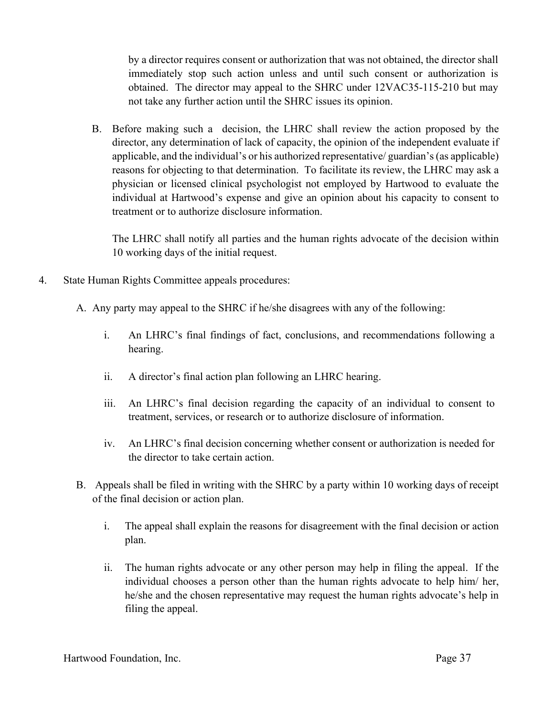by a director requires consent or authorization that was not obtained, the director shall immediately stop such action unless and until such consent or authorization is obtained. The director may appeal to the SHRC under 12VAC35-115-210 but may not take any further action until the SHRC issues its opinion.

B. Before making such a decision, the LHRC shall review the action proposed by the director, any determination of lack of capacity, the opinion of the independent evaluate if applicable, and the individual's or his authorized representative/ guardian's (as applicable) reasons for objecting to that determination. To facilitate its review, the LHRC may ask a physician or licensed clinical psychologist not employed by Hartwood to evaluate the individual at Hartwood's expense and give an opinion about his capacity to consent to treatment or to authorize disclosure information.

The LHRC shall notify all parties and the human rights advocate of the decision within 10 working days of the initial request.

- 4. State Human Rights Committee appeals procedures:
	- A. Any party may appeal to the SHRC if he/she disagrees with any of the following:
		- i. An LHRC's final findings of fact, conclusions, and recommendations following a hearing.
		- ii. A director's final action plan following an LHRC hearing.
		- iii. An LHRC's final decision regarding the capacity of an individual to consent to treatment, services, or research or to authorize disclosure of information.
		- iv. An LHRC's final decision concerning whether consent or authorization is needed for the director to take certain action.
	- B. Appeals shall be filed in writing with the SHRC by a party within 10 working days of receipt of the final decision or action plan.
		- i. The appeal shall explain the reasons for disagreement with the final decision or action plan.
		- ii. The human rights advocate or any other person may help in filing the appeal. If the individual chooses a person other than the human rights advocate to help him/ her, he/she and the chosen representative may request the human rights advocate's help in filing the appeal.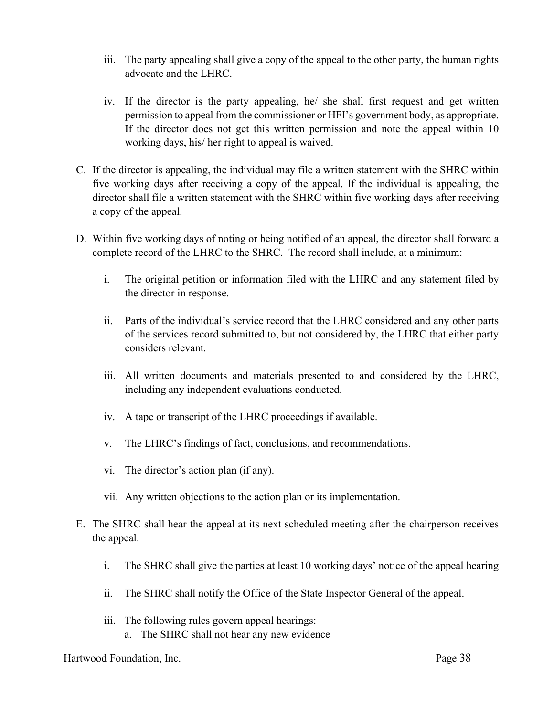- iii. The party appealing shall give a copy of the appeal to the other party, the human rights advocate and the LHRC.
- iv. If the director is the party appealing, he/ she shall first request and get written permission to appeal from the commissioner or HFI's government body, as appropriate. If the director does not get this written permission and note the appeal within 10 working days, his/ her right to appeal is waived.
- C. If the director is appealing, the individual may file a written statement with the SHRC within five working days after receiving a copy of the appeal. If the individual is appealing, the director shall file a written statement with the SHRC within five working days after receiving a copy of the appeal.
- D. Within five working days of noting or being notified of an appeal, the director shall forward a complete record of the LHRC to the SHRC. The record shall include, at a minimum:
	- i. The original petition or information filed with the LHRC and any statement filed by the director in response.
	- ii. Parts of the individual's service record that the LHRC considered and any other parts of the services record submitted to, but not considered by, the LHRC that either party considers relevant.
	- iii. All written documents and materials presented to and considered by the LHRC, including any independent evaluations conducted.
	- iv. A tape or transcript of the LHRC proceedings if available.
	- v. The LHRC's findings of fact, conclusions, and recommendations.
	- vi. The director's action plan (if any).
	- vii. Any written objections to the action plan or its implementation.
- E. The SHRC shall hear the appeal at its next scheduled meeting after the chairperson receives the appeal.
	- i. The SHRC shall give the parties at least 10 working days' notice of the appeal hearing
	- ii. The SHRC shall notify the Office of the State Inspector General of the appeal.
	- iii. The following rules govern appeal hearings: a. The SHRC shall not hear any new evidence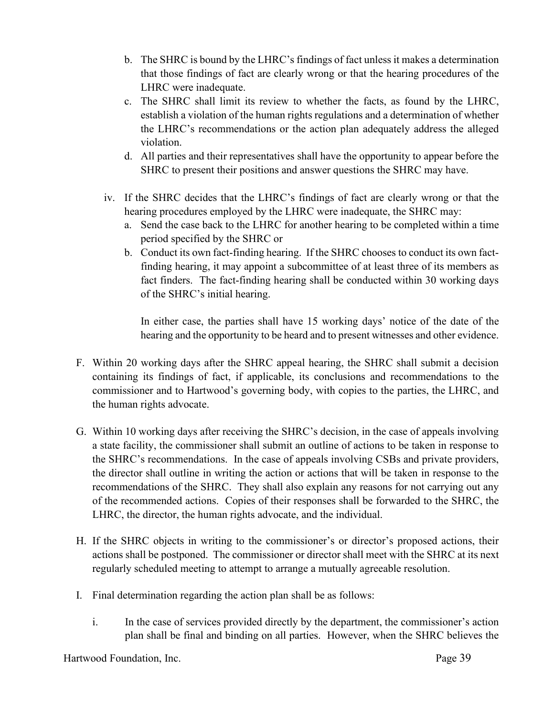- b. The SHRC is bound by the LHRC's findings of fact unless it makes a determination that those findings of fact are clearly wrong or that the hearing procedures of the LHRC were inadequate.
- c. The SHRC shall limit its review to whether the facts, as found by the LHRC, establish a violation of the human rights regulations and a determination of whether the LHRC's recommendations or the action plan adequately address the alleged violation.
- d. All parties and their representatives shall have the opportunity to appear before the SHRC to present their positions and answer questions the SHRC may have.
- iv. If the SHRC decides that the LHRC's findings of fact are clearly wrong or that the hearing procedures employed by the LHRC were inadequate, the SHRC may:
	- a. Send the case back to the LHRC for another hearing to be completed within a time period specified by the SHRC or
	- b. Conduct its own fact-finding hearing. If the SHRC chooses to conduct its own factfinding hearing, it may appoint a subcommittee of at least three of its members as fact finders. The fact-finding hearing shall be conducted within 30 working days of the SHRC's initial hearing.

In either case, the parties shall have 15 working days' notice of the date of the hearing and the opportunity to be heard and to present witnesses and other evidence.

- F. Within 20 working days after the SHRC appeal hearing, the SHRC shall submit a decision containing its findings of fact, if applicable, its conclusions and recommendations to the commissioner and to Hartwood's governing body, with copies to the parties, the LHRC, and the human rights advocate.
- G. Within 10 working days after receiving the SHRC's decision, in the case of appeals involving a state facility, the commissioner shall submit an outline of actions to be taken in response to the SHRC's recommendations. In the case of appeals involving CSBs and private providers, the director shall outline in writing the action or actions that will be taken in response to the recommendations of the SHRC. They shall also explain any reasons for not carrying out any of the recommended actions. Copies of their responses shall be forwarded to the SHRC, the LHRC, the director, the human rights advocate, and the individual.
- H. If the SHRC objects in writing to the commissioner's or director's proposed actions, their actions shall be postponed. The commissioner or director shall meet with the SHRC at its next regularly scheduled meeting to attempt to arrange a mutually agreeable resolution.
- I. Final determination regarding the action plan shall be as follows:
	- i. In the case of services provided directly by the department, the commissioner's action plan shall be final and binding on all parties. However, when the SHRC believes the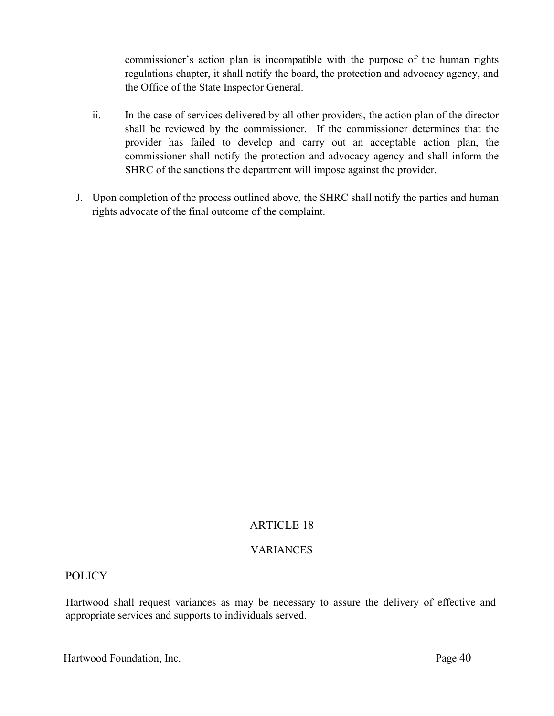commissioner's action plan is incompatible with the purpose of the human rights regulations chapter, it shall notify the board, the protection and advocacy agency, and the Office of the State Inspector General.

- ii. In the case of services delivered by all other providers, the action plan of the director shall be reviewed by the commissioner. If the commissioner determines that the provider has failed to develop and carry out an acceptable action plan, the commissioner shall notify the protection and advocacy agency and shall inform the SHRC of the sanctions the department will impose against the provider.
- J. Upon completion of the process outlined above, the SHRC shall notify the parties and human rights advocate of the final outcome of the complaint.

# ARTICLE 18

## VARIANCES

## POLICY

Hartwood shall request variances as may be necessary to assure the delivery of effective and appropriate services and supports to individuals served.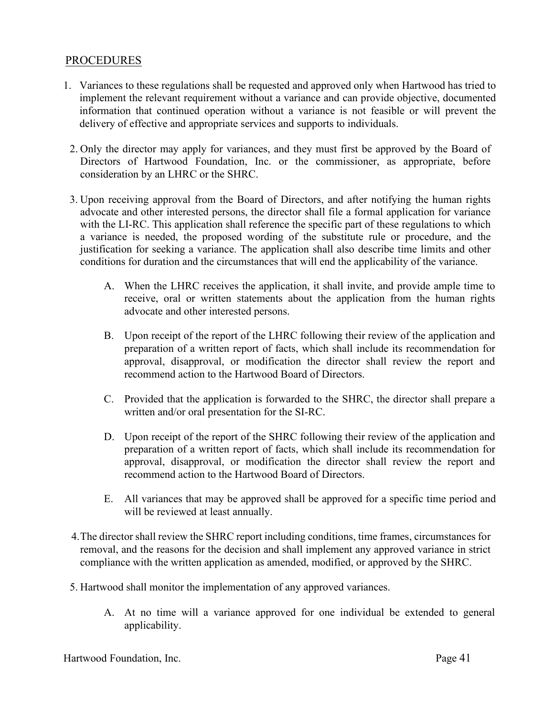## **PROCEDURES**

- 1. Variances to these regulations shall be requested and approved only when Hartwood has tried to implement the relevant requirement without a variance and can provide objective, documented information that continued operation without a variance is not feasible or will prevent the delivery of effective and appropriate services and supports to individuals.
	- 2. Only the director may apply for variances, and they must first be approved by the Board of Directors of Hartwood Foundation, Inc. or the commissioner, as appropriate, before consideration by an LHRC or the SHRC.
	- 3. Upon receiving approval from the Board of Directors, and after notifying the human rights advocate and other interested persons, the director shall file a formal application for variance with the LI-RC. This application shall reference the specific part of these regulations to which a variance is needed, the proposed wording of the substitute rule or procedure, and the justification for seeking a variance. The application shall also describe time limits and other conditions for duration and the circumstances that will end the applicability of the variance.
		- A. When the LHRC receives the application, it shall invite, and provide ample time to receive, oral or written statements about the application from the human rights advocate and other interested persons.
		- B. Upon receipt of the report of the LHRC following their review of the application and preparation of a written report of facts, which shall include its recommendation for approval, disapproval, or modification the director shall review the report and recommend action to the Hartwood Board of Directors.
		- C. Provided that the application is forwarded to the SHRC, the director shall prepare a written and/or oral presentation for the SI-RC.
		- D. Upon receipt of the report of the SHRC following their review of the application and preparation of a written report of facts, which shall include its recommendation for approval, disapproval, or modification the director shall review the report and recommend action to the Hartwood Board of Directors.
		- E. All variances that may be approved shall be approved for a specific time period and will be reviewed at least annually.
	- 4.The director shall review the SHRC report including conditions, time frames, circumstances for removal, and the reasons for the decision and shall implement any approved variance in strict compliance with the written application as amended, modified, or approved by the SHRC.
	- 5. Hartwood shall monitor the implementation of any approved variances.
		- A. At no time will a variance approved for one individual be extended to general applicability.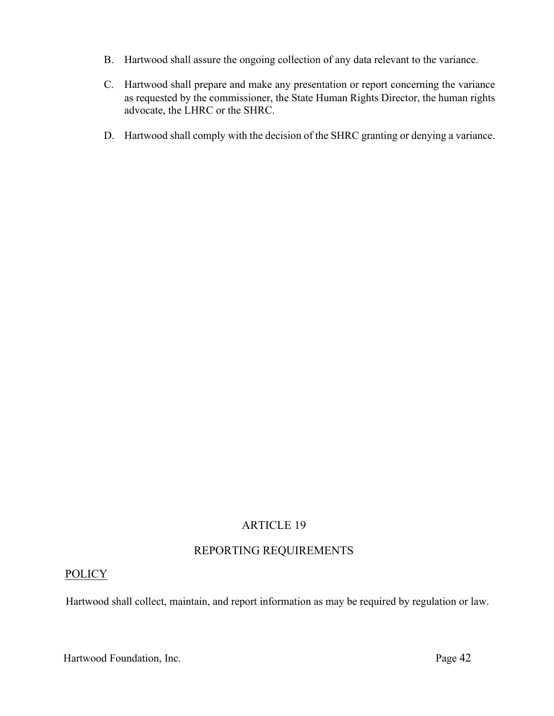- B. Hartwood shall assure the ongoing collection of any data relevant to the variance.
- C. Hartwood shall prepare and make any presentation or report concerning the variance as requested by the commissioner, the State Human Rights Director, the human rights advocate, the LHRC or the SHRC.
- D. Hartwood shall comply with the decision of the SHRC granting or denying a variance.

# REPORTING REQUIREMENTS

# **POLICY**

Hartwood shall collect, maintain, and report information as may be required by regulation or law.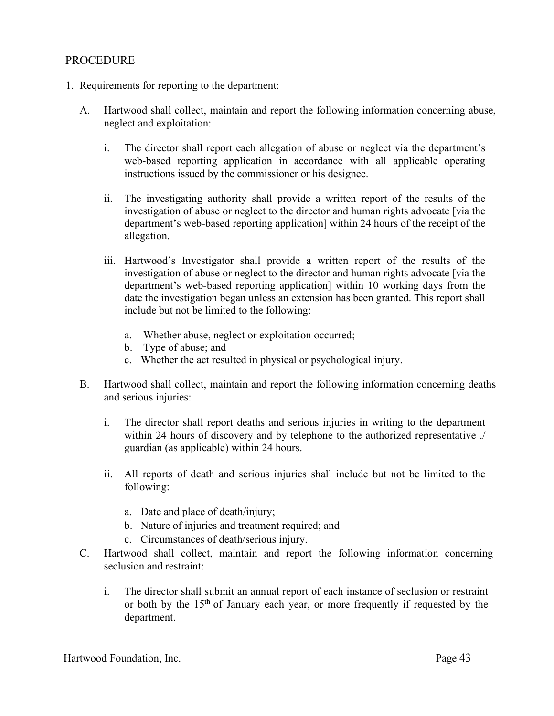## PROCEDURE

- 1. Requirements for reporting to the department:
	- A. Hartwood shall collect, maintain and report the following information concerning abuse, neglect and exploitation:
		- i. The director shall report each allegation of abuse or neglect via the department's web-based reporting application in accordance with all applicable operating instructions issued by the commissioner or his designee.
		- ii. The investigating authority shall provide a written report of the results of the investigation of abuse or neglect to the director and human rights advocate [via the department's web-based reporting application] within 24 hours of the receipt of the allegation.
		- iii. Hartwood's Investigator shall provide a written report of the results of the investigation of abuse or neglect to the director and human rights advocate [via the department's web-based reporting application] within 10 working days from the date the investigation began unless an extension has been granted. This report shall include but not be limited to the following:
			- a. Whether abuse, neglect or exploitation occurred;
			- b. Type of abuse; and
			- c. Whether the act resulted in physical or psychological injury.
	- B. Hartwood shall collect, maintain and report the following information concerning deaths and serious injuries:
		- i. The director shall report deaths and serious injuries in writing to the department within 24 hours of discovery and by telephone to the authorized representative ./ guardian (as applicable) within 24 hours.
		- ii. All reports of death and serious injuries shall include but not be limited to the following:
			- a. Date and place of death/injury;
			- b. Nature of injuries and treatment required; and
			- c. Circumstances of death/serious injury.
	- C. Hartwood shall collect, maintain and report the following information concerning seclusion and restraint:
		- i. The director shall submit an annual report of each instance of seclusion or restraint or both by the  $15<sup>th</sup>$  of January each year, or more frequently if requested by the department.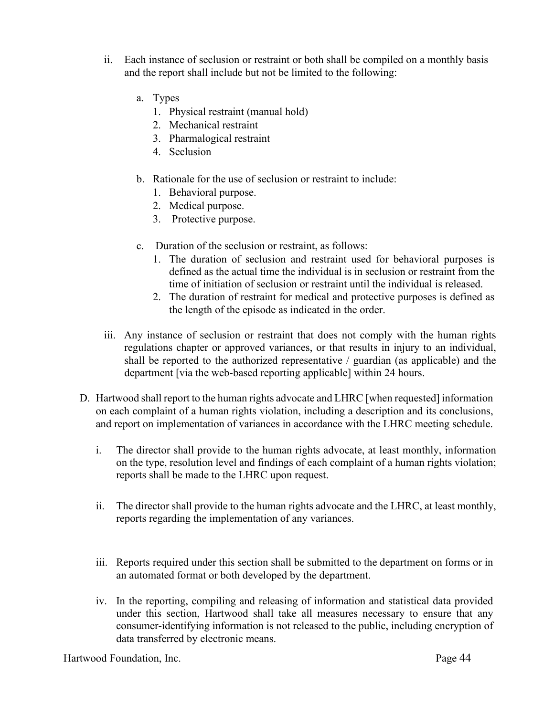- ii. Each instance of seclusion or restraint or both shall be compiled on a monthly basis and the report shall include but not be limited to the following:
	- a. Types
		- 1. Physical restraint (manual hold)
		- 2. Mechanical restraint
		- 3. Pharmalogical restraint
		- 4. Seclusion
	- b. Rationale for the use of seclusion or restraint to include:
		- 1. Behavioral purpose.
		- 2. Medical purpose.
		- 3. Protective purpose.
	- c. Duration of the seclusion or restraint, as follows:
		- 1. The duration of seclusion and restraint used for behavioral purposes is defined as the actual time the individual is in seclusion or restraint from the time of initiation of seclusion or restraint until the individual is released.
		- 2. The duration of restraint for medical and protective purposes is defined as the length of the episode as indicated in the order.
- iii. Any instance of seclusion or restraint that does not comply with the human rights regulations chapter or approved variances, or that results in injury to an individual, shall be reported to the authorized representative / guardian (as applicable) and the department [via the web-based reporting applicable] within 24 hours.
- D. Hartwood shall report to the human rights advocate and LHRC [when requested] information on each complaint of a human rights violation, including a description and its conclusions, and report on implementation of variances in accordance with the LHRC meeting schedule.
	- i. The director shall provide to the human rights advocate, at least monthly, information on the type, resolution level and findings of each complaint of a human rights violation; reports shall be made to the LHRC upon request.
	- ii. The director shall provide to the human rights advocate and the LHRC, at least monthly, reports regarding the implementation of any variances.
	- iii. Reports required under this section shall be submitted to the department on forms or in an automated format or both developed by the department.
	- iv. In the reporting, compiling and releasing of information and statistical data provided under this section, Hartwood shall take all measures necessary to ensure that any consumer-identifying information is not released to the public, including encryption of data transferred by electronic means.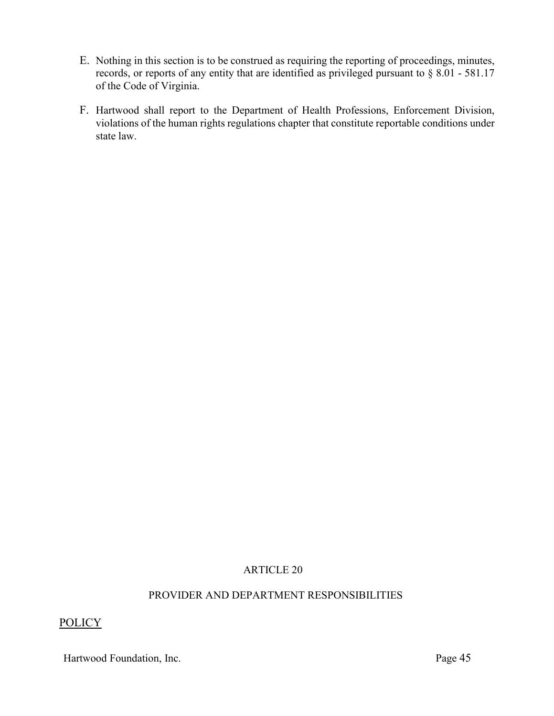- E. Nothing in this section is to be construed as requiring the reporting of proceedings, minutes, records, or reports of any entity that are identified as privileged pursuant to § 8.01 - 581.17 of the Code of Virginia.
- F. Hartwood shall report to the Department of Health Professions, Enforcement Division, violations of the human rights regulations chapter that constitute reportable conditions under state law.

#### PROVIDER AND DEPARTMENT RESPONSIBILITIES

## POLICY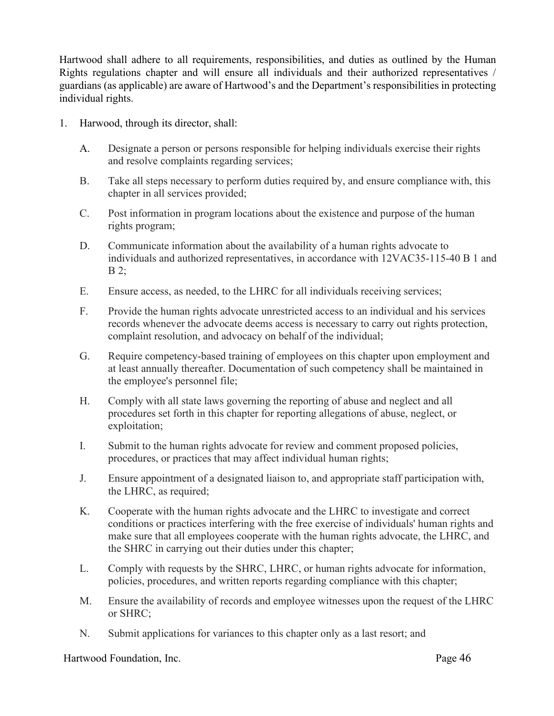Hartwood shall adhere to all requirements, responsibilities, and duties as outlined by the Human Rights regulations chapter and will ensure all individuals and their authorized representatives / guardians (as applicable) are aware of Hartwood's and the Department's responsibilities in protecting individual rights.

- 1. Harwood, through its director, shall:
	- A. Designate a person or persons responsible for helping individuals exercise their rights and resolve complaints regarding services;
	- B. Take all steps necessary to perform duties required by, and ensure compliance with, this chapter in all services provided;
	- C. Post information in program locations about the existence and purpose of the human rights program;
	- D. Communicate information about the availability of a human rights advocate to individuals and authorized representatives, in accordance with 12VAC35-115-40 B 1 and B 2;
	- E. Ensure access, as needed, to the LHRC for all individuals receiving services;
	- F. Provide the human rights advocate unrestricted access to an individual and his services records whenever the advocate deems access is necessary to carry out rights protection, complaint resolution, and advocacy on behalf of the individual;
	- G. Require competency-based training of employees on this chapter upon employment and at least annually thereafter. Documentation of such competency shall be maintained in the employee's personnel file;
	- H. Comply with all state laws governing the reporting of abuse and neglect and all procedures set forth in this chapter for reporting allegations of abuse, neglect, or exploitation;
	- I. Submit to the human rights advocate for review and comment proposed policies, procedures, or practices that may affect individual human rights;
	- J. Ensure appointment of a designated liaison to, and appropriate staff participation with, the LHRC, as required;
	- K. Cooperate with the human rights advocate and the LHRC to investigate and correct conditions or practices interfering with the free exercise of individuals' human rights and make sure that all employees cooperate with the human rights advocate, the LHRC, and the SHRC in carrying out their duties under this chapter;
	- L. Comply with requests by the SHRC, LHRC, or human rights advocate for information, policies, procedures, and written reports regarding compliance with this chapter;
	- M. Ensure the availability of records and employee witnesses upon the request of the LHRC or SHRC;
	- N. Submit applications for variances to this chapter only as a last resort; and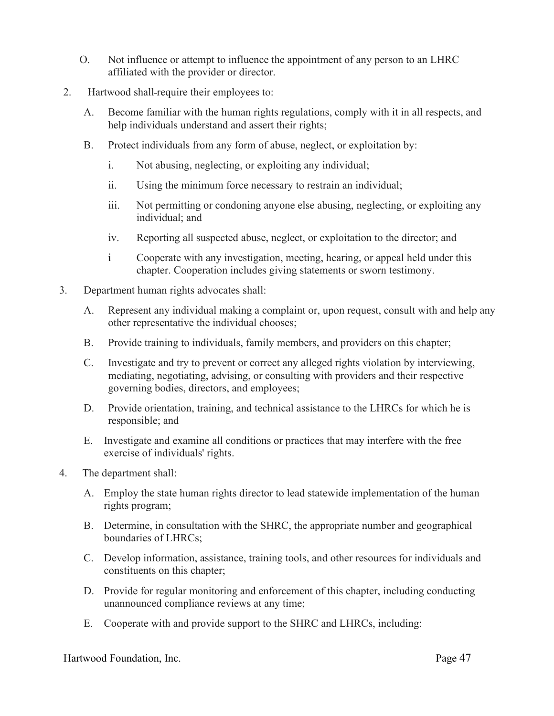- O. Not influence or attempt to influence the appointment of any person to an LHRC affiliated with the provider or director.
- 2. Hartwood shall-require their employees to:
	- A. Become familiar with the human rights regulations, comply with it in all respects, and help individuals understand and assert their rights;
	- B. Protect individuals from any form of abuse, neglect, or exploitation by:
		- i. Not abusing, neglecting, or exploiting any individual;
		- ii. Using the minimum force necessary to restrain an individual;
		- iii. Not permitting or condoning anyone else abusing, neglecting, or exploiting any individual; and
		- iv. Reporting all suspected abuse, neglect, or exploitation to the director; and
		- i Cooperate with any investigation, meeting, hearing, or appeal held under this chapter. Cooperation includes giving statements or sworn testimony.
- 3. Department human rights advocates shall:
	- A. Represent any individual making a complaint or, upon request, consult with and help any other representative the individual chooses;
	- B. Provide training to individuals, family members, and providers on this chapter;
	- C. Investigate and try to prevent or correct any alleged rights violation by interviewing, mediating, negotiating, advising, or consulting with providers and their respective governing bodies, directors, and employees;
	- D. Provide orientation, training, and technical assistance to the LHRCs for which he is responsible; and
	- E. Investigate and examine all conditions or practices that may interfere with the free exercise of individuals' rights.
- 4. The department shall:
	- A. Employ the state human rights director to lead statewide implementation of the human rights program;
	- B. Determine, in consultation with the SHRC, the appropriate number and geographical boundaries of LHRCs;
	- C. Develop information, assistance, training tools, and other resources for individuals and constituents on this chapter;
	- D. Provide for regular monitoring and enforcement of this chapter, including conducting unannounced compliance reviews at any time;
	- E. Cooperate with and provide support to the SHRC and LHRCs, including: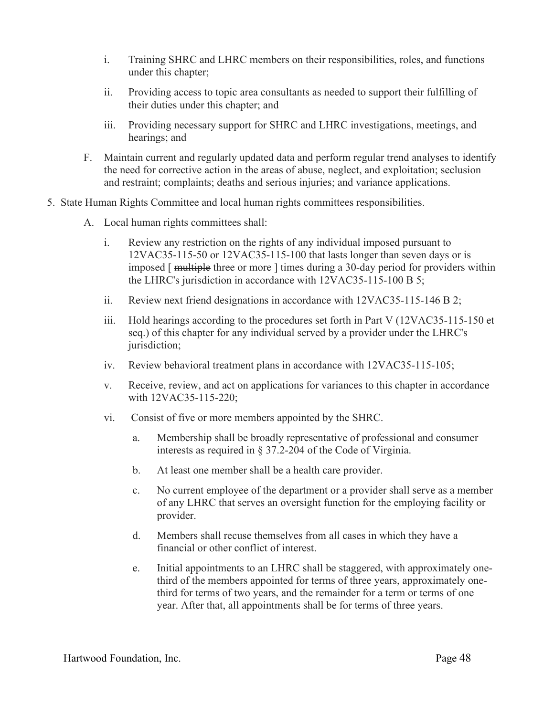- i. Training SHRC and LHRC members on their responsibilities, roles, and functions under this chapter;
- ii. Providing access to topic area consultants as needed to support their fulfilling of their duties under this chapter; and
- iii. Providing necessary support for SHRC and LHRC investigations, meetings, and hearings; and
- F. Maintain current and regularly updated data and perform regular trend analyses to identify the need for corrective action in the areas of abuse, neglect, and exploitation; seclusion and restraint; complaints; deaths and serious injuries; and variance applications.
- 5. State Human Rights Committee and local human rights committees responsibilities.
	- A. Local human rights committees shall:
		- i. Review any restriction on the rights of any individual imposed pursuant to 12VAC35-115-50 or 12VAC35-115-100 that lasts longer than seven days or is imposed [ multiple three or more ] times during a 30-day period for providers within the LHRC's jurisdiction in accordance with 12VAC35-115-100 B 5;
		- ii. Review next friend designations in accordance with 12VAC35-115-146 B 2;
		- iii. Hold hearings according to the procedures set forth in Part V  $(12\nu AC35-115-150)$  et seq.) of this chapter for any individual served by a provider under the LHRC's jurisdiction;
		- iv. Review behavioral treatment plans in accordance with 12VAC35-115-105;
		- v. Receive, review, and act on applications for variances to this chapter in accordance with 12VAC35-115-220;
		- vi. Consist of five or more members appointed by the SHRC.
			- a. Membership shall be broadly representative of professional and consumer interests as required in § 37.2-204 of the Code of Virginia.
			- b. At least one member shall be a health care provider.
			- c. No current employee of the department or a provider shall serve as a member of any LHRC that serves an oversight function for the employing facility or provider.
			- d. Members shall recuse themselves from all cases in which they have a financial or other conflict of interest.
			- e. Initial appointments to an LHRC shall be staggered, with approximately onethird of the members appointed for terms of three years, approximately onethird for terms of two years, and the remainder for a term or terms of one year. After that, all appointments shall be for terms of three years.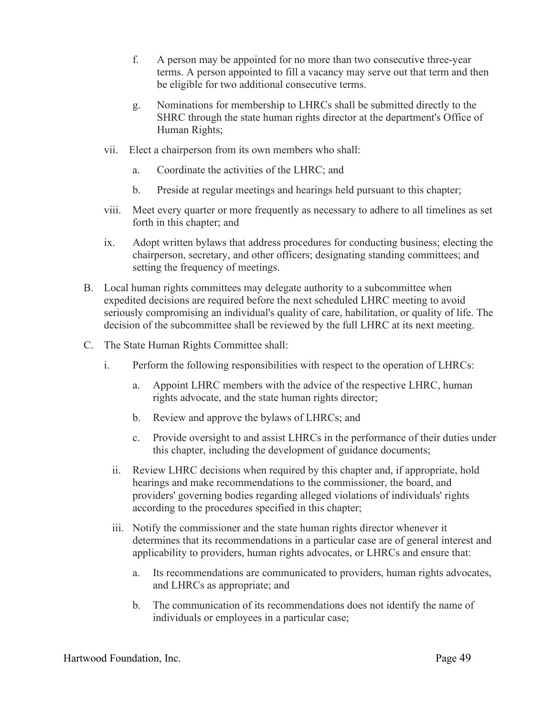- f. A person may be appointed for no more than two consecutive three-year terms. A person appointed to fill a vacancy may serve out that term and then be eligible for two additional consecutive terms.
- g. Nominations for membership to LHRCs shall be submitted directly to the SHRC through the state human rights director at the department's Office of Human Rights;
- vii. Elect a chairperson from its own members who shall:
	- a. Coordinate the activities of the LHRC; and
	- b. Preside at regular meetings and hearings held pursuant to this chapter;
- viii. Meet every quarter or more frequently as necessary to adhere to all timelines as set forth in this chapter; and
- ix. Adopt written bylaws that address procedures for conducting business; electing the chairperson, secretary, and other officers; designating standing committees; and setting the frequency of meetings.
- B. Local human rights committees may delegate authority to a subcommittee when expedited decisions are required before the next scheduled LHRC meeting to avoid seriously compromising an individual's quality of care, habilitation, or quality of life. The decision of the subcommittee shall be reviewed by the full LHRC at its next meeting.
- C. The State Human Rights Committee shall:
	- i. Perform the following responsibilities with respect to the operation of LHRCs:
		- a. Appoint LHRC members with the advice of the respective LHRC, human rights advocate, and the state human rights director;
		- b. Review and approve the bylaws of LHRCs; and
		- c. Provide oversight to and assist LHRCs in the performance of their duties under this chapter, including the development of guidance documents;
		- ii. Review LHRC decisions when required by this chapter and, if appropriate, hold hearings and make recommendations to the commissioner, the board, and providers' governing bodies regarding alleged violations of individuals' rights according to the procedures specified in this chapter;
		- iii. Notify the commissioner and the state human rights director whenever it determines that its recommendations in a particular case are of general interest and applicability to providers, human rights advocates, or LHRCs and ensure that:
			- a. Its recommendations are communicated to providers, human rights advocates, and LHRCs as appropriate; and
			- b. The communication of its recommendations does not identify the name of individuals or employees in a particular case;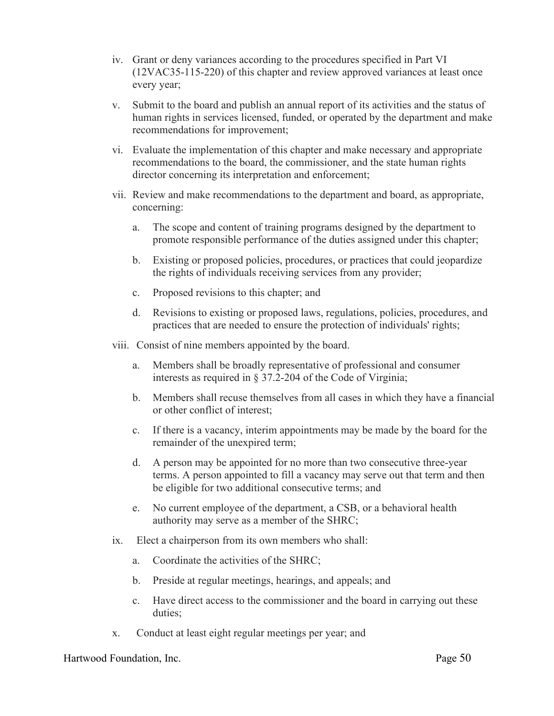- iv. Grant or deny variances according to the procedures specified in Part VI (12VAC35-115-220) of this chapter and review approved variances at least once every year;
- v. Submit to the board and publish an annual report of its activities and the status of human rights in services licensed, funded, or operated by the department and make recommendations for improvement;
- vi. Evaluate the implementation of this chapter and make necessary and appropriate recommendations to the board, the commissioner, and the state human rights director concerning its interpretation and enforcement;
- vii. Review and make recommendations to the department and board, as appropriate, concerning:
	- a. The scope and content of training programs designed by the department to promote responsible performance of the duties assigned under this chapter;
	- b. Existing or proposed policies, procedures, or practices that could jeopardize the rights of individuals receiving services from any provider;
	- c. Proposed revisions to this chapter; and
	- d. Revisions to existing or proposed laws, regulations, policies, procedures, and practices that are needed to ensure the protection of individuals' rights;
- viii. Consist of nine members appointed by the board.
	- a. Members shall be broadly representative of professional and consumer interests as required in § 37.2-204 of the Code of Virginia;
	- b. Members shall recuse themselves from all cases in which they have a financial or other conflict of interest;
	- c. If there is a vacancy, interim appointments may be made by the board for the remainder of the unexpired term;
	- d. A person may be appointed for no more than two consecutive three-year terms. A person appointed to fill a vacancy may serve out that term and then be eligible for two additional consecutive terms; and
	- e. No current employee of the department, a CSB, or a behavioral health authority may serve as a member of the SHRC;
- ix. Elect a chairperson from its own members who shall:
	- a. Coordinate the activities of the SHRC;
	- b. Preside at regular meetings, hearings, and appeals; and
	- c. Have direct access to the commissioner and the board in carrying out these duties;
- x. Conduct at least eight regular meetings per year; and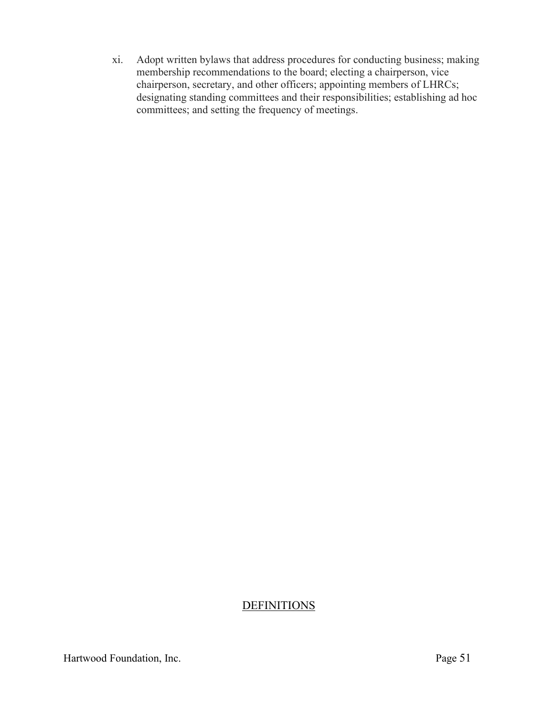xi. Adopt written bylaws that address procedures for conducting business; making membership recommendations to the board; electing a chairperson, vice chairperson, secretary, and other officers; appointing members of LHRCs; designating standing committees and their responsibilities; establishing ad hoc committees; and setting the frequency of meetings.

# **DEFINITIONS**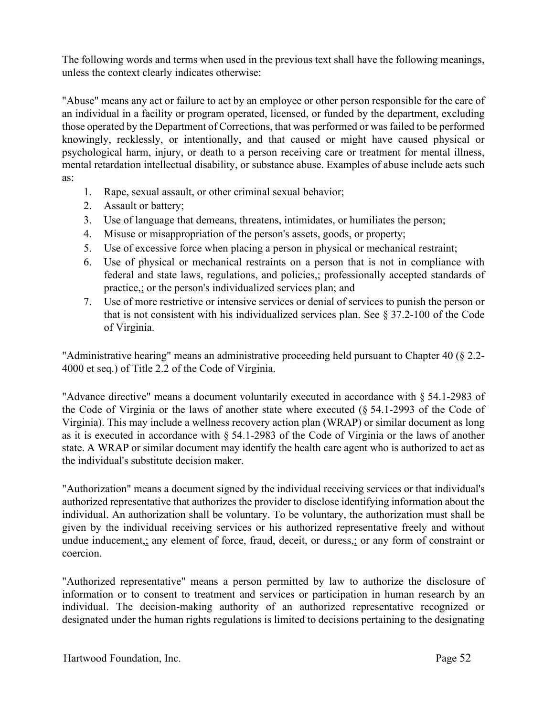The following words and terms when used in the previous text shall have the following meanings, unless the context clearly indicates otherwise:

"Abuse" means any act or failure to act by an employee or other person responsible for the care of an individual in a facility or program operated, licensed, or funded by the department, excluding those operated by the Department of Corrections, that was performed or was failed to be performed knowingly, recklessly, or intentionally, and that caused or might have caused physical or psychological harm, injury, or death to a person receiving care or treatment for mental illness, mental retardation intellectual disability, or substance abuse. Examples of abuse include acts such as:

- 1. Rape, sexual assault, or other criminal sexual behavior;
- 2. Assault or battery;
- 3. Use of language that demeans, threatens, intimidates, or humiliates the person;
- 4. Misuse or misappropriation of the person's assets, goods, or property;
- 5. Use of excessive force when placing a person in physical or mechanical restraint;
- 6. Use of physical or mechanical restraints on a person that is not in compliance with federal and state laws, regulations, and policies,; professionally accepted standards of practice,; or the person's individualized services plan; and
- 7. Use of more restrictive or intensive services or denial of services to punish the person or that is not consistent with his individualized services plan. See  $\S 37.2$ -100 of the Code of Virginia.

"Administrative hearing" means an administrative proceeding held pursuant to Chapter 40 (§ 2.2- 4000 et seq.) of Title 2.2 of the Code of Virginia.

"Advance directive" means a document voluntarily executed in accordance with § 54.1-2983 of the Code of Virginia or the laws of another state where executed (§ 54.1-2993 of the Code of Virginia). This may include a wellness recovery action plan (WRAP) or similar document as long as it is executed in accordance with § 54.1-2983 of the Code of Virginia or the laws of another state. A WRAP or similar document may identify the health care agent who is authorized to act as the individual's substitute decision maker.

"Authorization" means a document signed by the individual receiving services or that individual's authorized representative that authorizes the provider to disclose identifying information about the individual. An authorization shall be voluntary. To be voluntary, the authorization must shall be given by the individual receiving services or his authorized representative freely and without undue inducement,; any element of force, fraud, deceit, or duress,; or any form of constraint or coercion.

"Authorized representative" means a person permitted by law to authorize the disclosure of information or to consent to treatment and services or participation in human research by an individual. The decision-making authority of an authorized representative recognized or designated under the human rights regulations is limited to decisions pertaining to the designating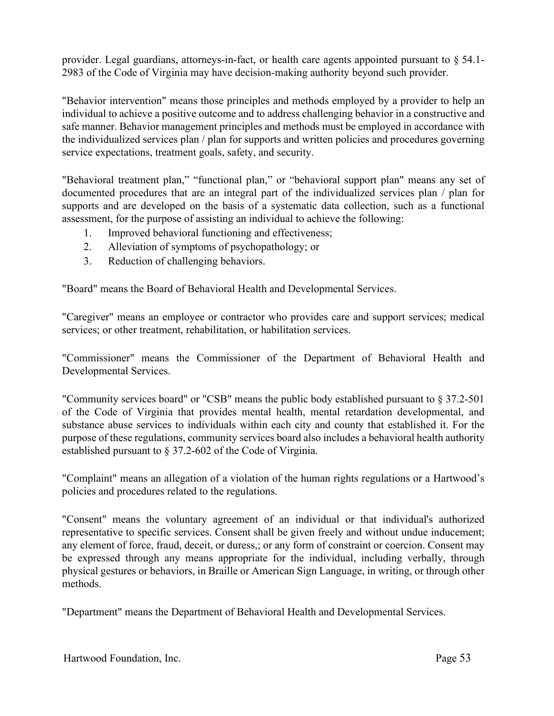provider. Legal guardians, attorneys-in-fact, or health care agents appointed pursuant to § 54.1- 2983 of the Code of Virginia may have decision-making authority beyond such provider.

"Behavior intervention" means those principles and methods employed by a provider to help an individual to achieve a positive outcome and to address challenging behavior in a constructive and safe manner. Behavior management principles and methods must be employed in accordance with the individualized services plan / plan for supports and written policies and procedures governing service expectations, treatment goals, safety, and security.

"Behavioral treatment plan," "functional plan," or "behavioral support plan" means any set of documented procedures that are an integral part of the individualized services plan / plan for supports and are developed on the basis of a systematic data collection, such as a functional assessment, for the purpose of assisting an individual to achieve the following:

- 1. Improved behavioral functioning and effectiveness;
- 2. Alleviation of symptoms of psychopathology; or
- 3. Reduction of challenging behaviors.

"Board" means the Board of Behavioral Health and Developmental Services.

"Caregiver" means an employee or contractor who provides care and support services; medical services; or other treatment, rehabilitation, or habilitation services.

"Commissioner" means the Commissioner of the Department of Behavioral Health and Developmental Services.

"Community services board" or "CSB" means the public body established pursuant to § 37.2-501 of the Code of Virginia that provides mental health, mental retardation developmental, and substance abuse services to individuals within each city and county that established it. For the purpose of these regulations, community services board also includes a behavioral health authority established pursuant to § 37.2-602 of the Code of Virginia.

"Complaint" means an allegation of a violation of the human rights regulations or a Hartwood's policies and procedures related to the regulations.

"Consent" means the voluntary agreement of an individual or that individual's authorized representative to specific services. Consent shall be given freely and without undue inducement; any element of force, fraud, deceit, or duress,; or any form of constraint or coercion. Consent may be expressed through any means appropriate for the individual, including verbally, through physical gestures or behaviors, in Braille or American Sign Language, in writing, or through other methods.

"Department" means the Department of Behavioral Health and Developmental Services.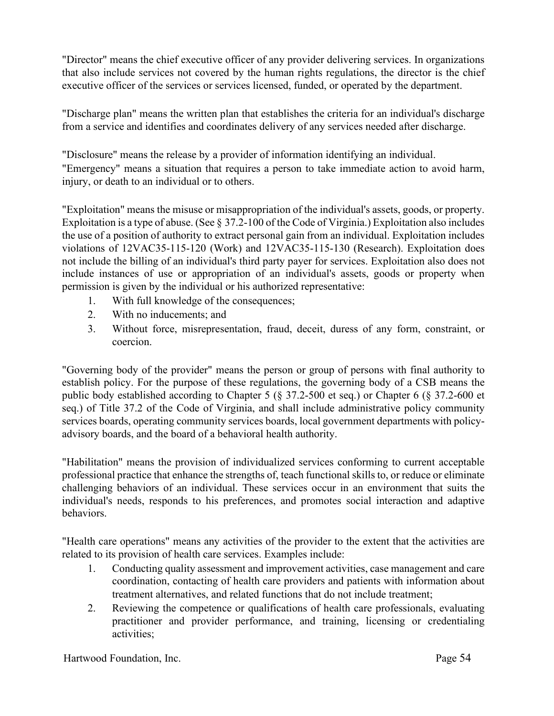"Director" means the chief executive officer of any provider delivering services. In organizations that also include services not covered by the human rights regulations, the director is the chief executive officer of the services or services licensed, funded, or operated by the department.

"Discharge plan" means the written plan that establishes the criteria for an individual's discharge from a service and identifies and coordinates delivery of any services needed after discharge.

"Disclosure" means the release by a provider of information identifying an individual. "Emergency" means a situation that requires a person to take immediate action to avoid harm, injury, or death to an individual or to others.

"Exploitation" means the misuse or misappropriation of the individual's assets, goods, or property. Exploitation is a type of abuse. (See § 37.2-100 of the Code of Virginia.) Exploitation also includes the use of a position of authority to extract personal gain from an individual. Exploitation includes violations of 12VAC35-115-120 (Work) and 12VAC35-115-130 (Research). Exploitation does not include the billing of an individual's third party payer for services. Exploitation also does not include instances of use or appropriation of an individual's assets, goods or property when permission is given by the individual or his authorized representative:

- 1. With full knowledge of the consequences;
- 2. With no inducements; and
- 3. Without force, misrepresentation, fraud, deceit, duress of any form, constraint, or coercion.

"Governing body of the provider" means the person or group of persons with final authority to establish policy. For the purpose of these regulations, the governing body of a CSB means the public body established according to Chapter 5 (§ 37.2-500 et seq.) or Chapter 6 (§ 37.2-600 et seq.) of Title 37.2 of the Code of Virginia, and shall include administrative policy community services boards, operating community services boards, local government departments with policyadvisory boards, and the board of a behavioral health authority.

"Habilitation" means the provision of individualized services conforming to current acceptable professional practice that enhance the strengths of, teach functional skills to, or reduce or eliminate challenging behaviors of an individual. These services occur in an environment that suits the individual's needs, responds to his preferences, and promotes social interaction and adaptive behaviors.

"Health care operations" means any activities of the provider to the extent that the activities are related to its provision of health care services. Examples include:

- 1. Conducting quality assessment and improvement activities, case management and care coordination, contacting of health care providers and patients with information about treatment alternatives, and related functions that do not include treatment;
- 2. Reviewing the competence or qualifications of health care professionals, evaluating practitioner and provider performance, and training, licensing or credentialing activities;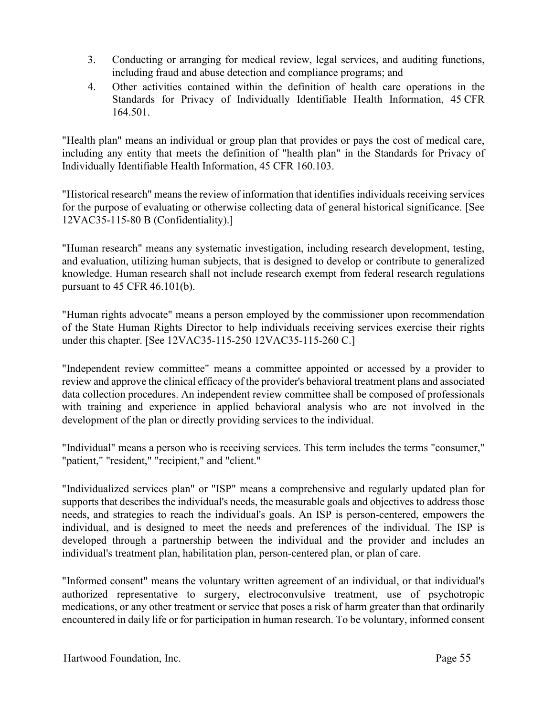- 3. Conducting or arranging for medical review, legal services, and auditing functions, including fraud and abuse detection and compliance programs; and
- 4. Other activities contained within the definition of health care operations in the Standards for Privacy of Individually Identifiable Health Information, 45 CFR 164.501.

"Health plan" means an individual or group plan that provides or pays the cost of medical care, including any entity that meets the definition of "health plan" in the Standards for Privacy of Individually Identifiable Health Information, 45 CFR 160.103.

"Historical research" means the review of information that identifies individuals receiving services for the purpose of evaluating or otherwise collecting data of general historical significance. [See 12VAC35-115-80 B (Confidentiality).]

"Human research" means any systematic investigation, including research development, testing, and evaluation, utilizing human subjects, that is designed to develop or contribute to generalized knowledge. Human research shall not include research exempt from federal research regulations pursuant to 45 CFR 46.101(b).

"Human rights advocate" means a person employed by the commissioner upon recommendation of the State Human Rights Director to help individuals receiving services exercise their rights under this chapter. [See 12VAC35-115-250 12VAC35-115-260 C.]

"Independent review committee" means a committee appointed or accessed by a provider to review and approve the clinical efficacy of the provider's behavioral treatment plans and associated data collection procedures. An independent review committee shall be composed of professionals with training and experience in applied behavioral analysis who are not involved in the development of the plan or directly providing services to the individual.

"Individual" means a person who is receiving services. This term includes the terms "consumer," "patient," "resident," "recipient," and "client."

"Individualized services plan" or "ISP" means a comprehensive and regularly updated plan for supports that describes the individual's needs, the measurable goals and objectives to address those needs, and strategies to reach the individual's goals. An ISP is person-centered, empowers the individual, and is designed to meet the needs and preferences of the individual. The ISP is developed through a partnership between the individual and the provider and includes an individual's treatment plan, habilitation plan, person-centered plan, or plan of care.

"Informed consent" means the voluntary written agreement of an individual, or that individual's authorized representative to surgery, electroconvulsive treatment, use of psychotropic medications, or any other treatment or service that poses a risk of harm greater than that ordinarily encountered in daily life or for participation in human research. To be voluntary, informed consent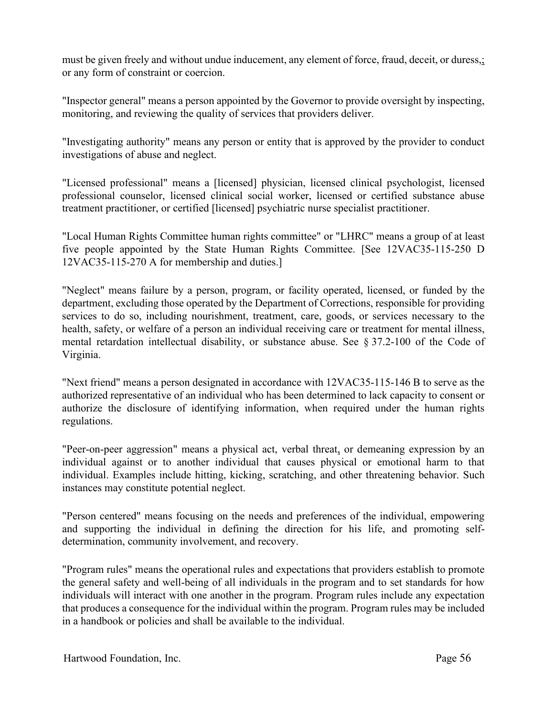must be given freely and without undue inducement, any element of force, fraud, deceit, or duress,; or any form of constraint or coercion.

"Inspector general" means a person appointed by the Governor to provide oversight by inspecting, monitoring, and reviewing the quality of services that providers deliver.

"Investigating authority" means any person or entity that is approved by the provider to conduct investigations of abuse and neglect.

"Licensed professional" means a [licensed] physician, licensed clinical psychologist, licensed professional counselor, licensed clinical social worker, licensed or certified substance abuse treatment practitioner, or certified [licensed] psychiatric nurse specialist practitioner.

"Local Human Rights Committee human rights committee" or "LHRC" means a group of at least five people appointed by the State Human Rights Committee. [See 12VAC35-115-250 D 12VAC35-115-270 A for membership and duties.]

"Neglect" means failure by a person, program, or facility operated, licensed, or funded by the department, excluding those operated by the Department of Corrections, responsible for providing services to do so, including nourishment, treatment, care, goods, or services necessary to the health, safety, or welfare of a person an individual receiving care or treatment for mental illness, mental retardation intellectual disability, or substance abuse. See § 37.2-100 of the Code of Virginia.

"Next friend" means a person designated in accordance with 12VAC35-115-146 B to serve as the authorized representative of an individual who has been determined to lack capacity to consent or authorize the disclosure of identifying information, when required under the human rights regulations.

"Peer-on-peer aggression" means a physical act, verbal threat, or demeaning expression by an individual against or to another individual that causes physical or emotional harm to that individual. Examples include hitting, kicking, scratching, and other threatening behavior. Such instances may constitute potential neglect.

"Person centered" means focusing on the needs and preferences of the individual, empowering and supporting the individual in defining the direction for his life, and promoting selfdetermination, community involvement, and recovery.

"Program rules" means the operational rules and expectations that providers establish to promote the general safety and well-being of all individuals in the program and to set standards for how individuals will interact with one another in the program. Program rules include any expectation that produces a consequence for the individual within the program. Program rules may be included in a handbook or policies and shall be available to the individual.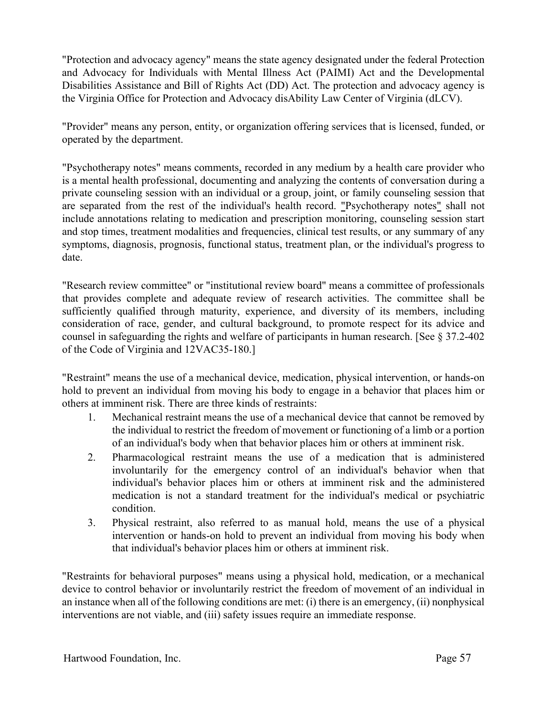"Protection and advocacy agency" means the state agency designated under the federal Protection and Advocacy for Individuals with Mental Illness Act (PAIMI) Act and the Developmental Disabilities Assistance and Bill of Rights Act (DD) Act. The protection and advocacy agency is the Virginia Office for Protection and Advocacy disAbility Law Center of Virginia (dLCV).

"Provider" means any person, entity, or organization offering services that is licensed, funded, or operated by the department.

"Psychotherapy notes" means comments, recorded in any medium by a health care provider who is a mental health professional, documenting and analyzing the contents of conversation during a private counseling session with an individual or a group, joint, or family counseling session that are separated from the rest of the individual's health record. "Psychotherapy notes" shall not include annotations relating to medication and prescription monitoring, counseling session start and stop times, treatment modalities and frequencies, clinical test results, or any summary of any symptoms, diagnosis, prognosis, functional status, treatment plan, or the individual's progress to date.

"Research review committee" or "institutional review board" means a committee of professionals that provides complete and adequate review of research activities. The committee shall be sufficiently qualified through maturity, experience, and diversity of its members, including consideration of race, gender, and cultural background, to promote respect for its advice and counsel in safeguarding the rights and welfare of participants in human research. [See § 37.2-402 of the Code of Virginia and 12VAC35-180.]

"Restraint" means the use of a mechanical device, medication, physical intervention, or hands-on hold to prevent an individual from moving his body to engage in a behavior that places him or others at imminent risk. There are three kinds of restraints:

- 1. Mechanical restraint means the use of a mechanical device that cannot be removed by the individual to restrict the freedom of movement or functioning of a limb or a portion of an individual's body when that behavior places him or others at imminent risk.
- 2. Pharmacological restraint means the use of a medication that is administered involuntarily for the emergency control of an individual's behavior when that individual's behavior places him or others at imminent risk and the administered medication is not a standard treatment for the individual's medical or psychiatric condition.
- 3. Physical restraint, also referred to as manual hold, means the use of a physical intervention or hands-on hold to prevent an individual from moving his body when that individual's behavior places him or others at imminent risk.

"Restraints for behavioral purposes" means using a physical hold, medication, or a mechanical device to control behavior or involuntarily restrict the freedom of movement of an individual in an instance when all of the following conditions are met: (i) there is an emergency, (ii) nonphysical interventions are not viable, and (iii) safety issues require an immediate response.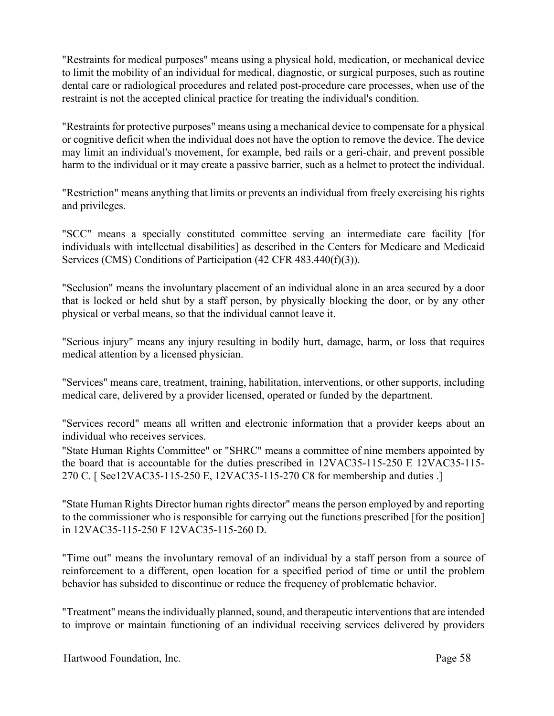"Restraints for medical purposes" means using a physical hold, medication, or mechanical device to limit the mobility of an individual for medical, diagnostic, or surgical purposes, such as routine dental care or radiological procedures and related post-procedure care processes, when use of the restraint is not the accepted clinical practice for treating the individual's condition.

"Restraints for protective purposes" means using a mechanical device to compensate for a physical or cognitive deficit when the individual does not have the option to remove the device. The device may limit an individual's movement, for example, bed rails or a geri-chair, and prevent possible harm to the individual or it may create a passive barrier, such as a helmet to protect the individual.

"Restriction" means anything that limits or prevents an individual from freely exercising his rights and privileges.

"SCC" means a specially constituted committee serving an intermediate care facility [for individuals with intellectual disabilities] as described in the Centers for Medicare and Medicaid Services (CMS) Conditions of Participation (42 CFR 483.440(f)(3)).

"Seclusion" means the involuntary placement of an individual alone in an area secured by a door that is locked or held shut by a staff person, by physically blocking the door, or by any other physical or verbal means, so that the individual cannot leave it.

"Serious injury" means any injury resulting in bodily hurt, damage, harm, or loss that requires medical attention by a licensed physician.

"Services" means care, treatment, training, habilitation, interventions, or other supports, including medical care, delivered by a provider licensed, operated or funded by the department.

"Services record" means all written and electronic information that a provider keeps about an individual who receives services.

"State Human Rights Committee" or "SHRC" means a committee of nine members appointed by the board that is accountable for the duties prescribed in 12VAC35-115-250 E 12VAC35-115- 270 C. [ See12VAC35-115-250 E, 12VAC35-115-270 C8 for membership and duties .]

"State Human Rights Director human rights director" means the person employed by and reporting to the commissioner who is responsible for carrying out the functions prescribed [for the position] in 12VAC35-115-250 F 12VAC35-115-260 D.

"Time out" means the involuntary removal of an individual by a staff person from a source of reinforcement to a different, open location for a specified period of time or until the problem behavior has subsided to discontinue or reduce the frequency of problematic behavior.

"Treatment" means the individually planned, sound, and therapeutic interventions that are intended to improve or maintain functioning of an individual receiving services delivered by providers